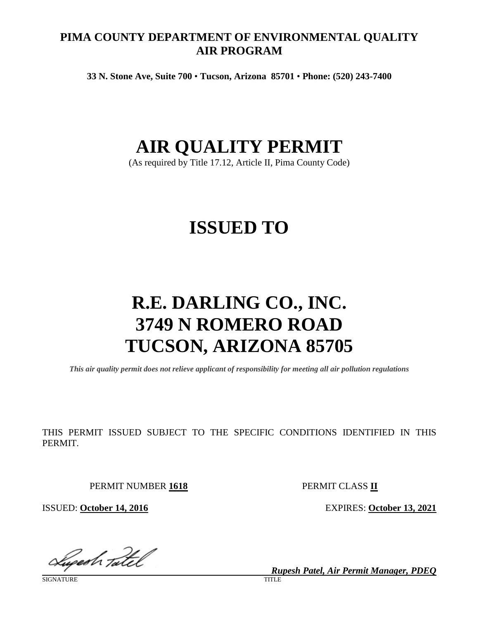# **PIMA COUNTY DEPARTMENT OF ENVIRONMENTAL QUALITY AIR PROGRAM**

**33 N. Stone Ave, Suite 700** • **Tucson, Arizona 85701** • **Phone: (520) 243-7400**

# **AIR QUALITY PERMIT**

(As required by Title 17.12, Article II, Pima County Code)

# **ISSUED TO**

# **R.E. DARLING CO., INC. 3749 N ROMERO ROAD TUCSON, ARIZONA 85705**

*This air quality permit does not relieve applicant of responsibility for meeting all air pollution regulations*

THIS PERMIT ISSUED SUBJECT TO THE SPECIFIC CONDITIONS IDENTIFIED IN THIS PERMIT.

PERMIT NUMBER **1618** PERMIT CLASS **II**

ISSUED: **October 14, 2016** EXPIRES: **October 13, 2021**

Luperh Tatel

SIGNATURE TITLE THE SERVICE OF THE SERVICE OF THE SERVICE OF THE SERVICE OF THE SERVICE OF THE SERVICE OF THE S

*Rupesh Patel, Air Permit Manager, PDEQ*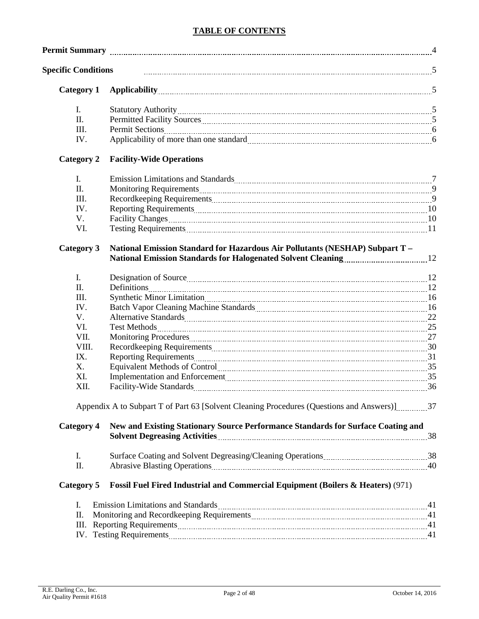# **TABLE OF CONTENTS**

| <b>Specific Conditions</b> |                                                                                                                                                                                                                                |    |
|----------------------------|--------------------------------------------------------------------------------------------------------------------------------------------------------------------------------------------------------------------------------|----|
| <b>Category 1</b>          | Applicability 5                                                                                                                                                                                                                |    |
| $\mathbf{I}$ .             |                                                                                                                                                                                                                                |    |
| II.                        |                                                                                                                                                                                                                                |    |
| Ш.                         |                                                                                                                                                                                                                                |    |
| IV.                        |                                                                                                                                                                                                                                |    |
| <b>Category 2</b>          | <b>Facility-Wide Operations</b>                                                                                                                                                                                                |    |
| $I_{\cdot}$                | Emission Limitations and Standards Manual Manual Manual Manual Manual Manual Manual Manual Manual Manual Manua                                                                                                                 |    |
| II.                        | Monitoring Requirements <b>Monitoring</b> Requirements <b>Monitoring</b> O                                                                                                                                                     |    |
| III.                       |                                                                                                                                                                                                                                |    |
| IV.                        |                                                                                                                                                                                                                                |    |
| V.                         |                                                                                                                                                                                                                                |    |
| VI.                        | Testing Requirements 2000 and 2000 and 2000 and 2000 and 2000 and 2000 and 2000 and 2000 and 2000 and 2000 and 2000 and 2000 and 2000 and 2000 and 2000 and 2000 and 2000 and 2000 and 2000 and 2000 and 2000 and 2000 and 200 |    |
| <b>Category 3</b>          | National Emission Standard for Hazardous Air Pollutants (NESHAP) Subpart T -                                                                                                                                                   |    |
| $\mathbf{I}$ .             |                                                                                                                                                                                                                                |    |
| II.                        |                                                                                                                                                                                                                                |    |
| III.                       |                                                                                                                                                                                                                                |    |
| IV.                        |                                                                                                                                                                                                                                |    |
| V.                         |                                                                                                                                                                                                                                |    |
| VI.                        |                                                                                                                                                                                                                                |    |
| VII.                       |                                                                                                                                                                                                                                |    |
| VIII.                      |                                                                                                                                                                                                                                |    |
| IX.                        |                                                                                                                                                                                                                                |    |
| X.                         | Equivalent Methods of Control 25 and 25 and 25 and 25 and 25 and 25 and 25 and 25 and 25 and 25 and 26 and 26 and 26 and 26 and 26 and 26 and 26 and 26 and 26 and 26 and 26 and 26 and 26 and 26 and 26 and 26 and 26 and 26  |    |
| XI.                        | Implementation and Enforcement [111] Marshall and Enforcement [11] Marshall and Enforcement [11] Marshall and Enforcement [11] Marshall and Enforcement [11] Marshall and Enforcement [11] Marshall and Enforcement [11] Marsh |    |
| XII.                       |                                                                                                                                                                                                                                |    |
|                            | Appendix A to Subpart T of Part 63 [Solvent Cleaning Procedures (Questions and Answers)] 37                                                                                                                                    |    |
| <b>Category 4</b>          | New and Existing Stationary Source Performance Standards for Surface Coating and                                                                                                                                               |    |
|                            | Solvent Degreasing Activities <b>Manual Activities</b> 28                                                                                                                                                                      |    |
| I.                         |                                                                                                                                                                                                                                |    |
| Π.                         |                                                                                                                                                                                                                                |    |
| Category 5                 | <b>Fossil Fuel Fired Industrial and Commercial Equipment (Boilers &amp; Heaters) (971)</b>                                                                                                                                     |    |
| I.                         | Emission Limitations and Standards Manual Manual Manual Manual Manual Manual Manual Manual Manual Manual Manua                                                                                                                 |    |
| Π.                         |                                                                                                                                                                                                                                |    |
| III.                       |                                                                                                                                                                                                                                | 41 |

R.E. Darling Co., Inc. (2016) 2016 14, 2016<br>Air Quality Permit #1618

IV. Testing Requirements 41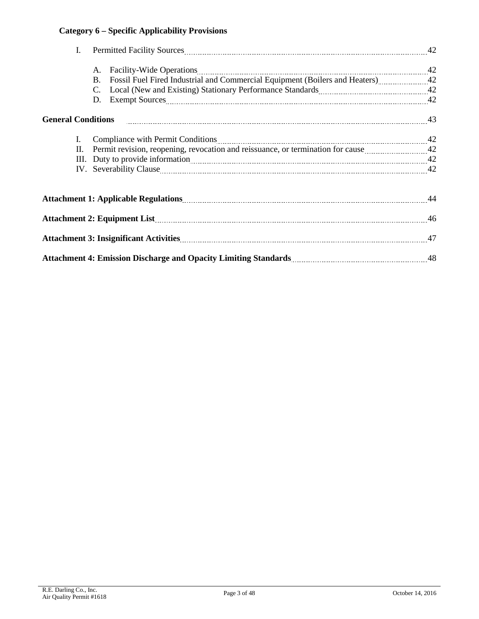# **Category 6 – Specific Applicability Provisions**

| I. |                                                                                                                                                                                                                                             |  |
|----|---------------------------------------------------------------------------------------------------------------------------------------------------------------------------------------------------------------------------------------------|--|
|    | А.                                                                                                                                                                                                                                          |  |
|    | Fossil Fuel Fired Industrial and Commercial Equipment (Boilers and Heaters) [101] The Fired Industrial and Commercial Equipment (Boilers and Heaters) [101] The Fired Industrial and Commercial Equipment (Boilers and Heaters<br><b>B.</b> |  |
|    | C.                                                                                                                                                                                                                                          |  |
|    | D.                                                                                                                                                                                                                                          |  |
|    |                                                                                                                                                                                                                                             |  |
| I. | Compliance with Permit Conditions [100] (2008) 42 Compliance with Permit Conditions [2008] (2008) 42                                                                                                                                        |  |
| П. |                                                                                                                                                                                                                                             |  |
|    | III. Duty to provide information <i>maturematics</i> and the provide information and the set of the set of the set of the set of the set of the set of the set of the set of the set of the set of the set of the set of the set of         |  |
|    | IV. Severability Clause 242                                                                                                                                                                                                                 |  |
|    |                                                                                                                                                                                                                                             |  |
|    |                                                                                                                                                                                                                                             |  |
|    |                                                                                                                                                                                                                                             |  |
|    |                                                                                                                                                                                                                                             |  |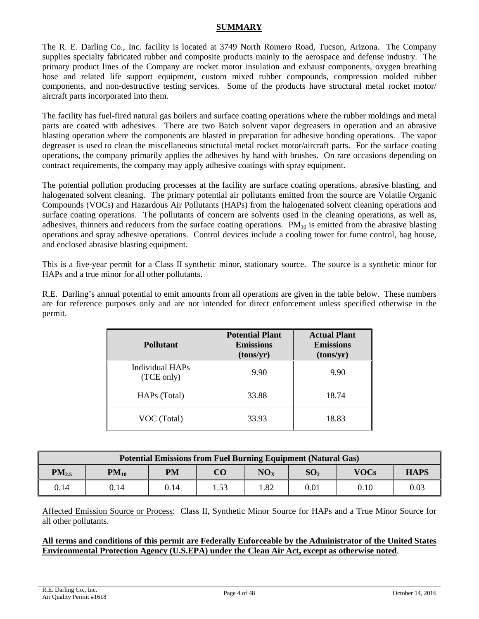## **SUMMARY**

The R. E. Darling Co., Inc. facility is located at 3749 North Romero Road, Tucson, Arizona. The Company supplies specialty fabricated rubber and composite products mainly to the aerospace and defense industry. The primary product lines of the Company are rocket motor insulation and exhaust components, oxygen breathing hose and related life support equipment, custom mixed rubber compounds, compression molded rubber components, and non-destructive testing services. Some of the products have structural metal rocket motor/ aircraft parts incorporated into them.

The facility has fuel-fired natural gas boilers and surface coating operations where the rubber moldings and metal parts are coated with adhesives. There are two Batch solvent vapor degreasers in operation and an abrasive blasting operation where the components are blasted in preparation for adhesive bonding operations. The vapor degreaser is used to clean the miscellaneous structural metal rocket motor/aircraft parts. For the surface coating operations, the company primarily applies the adhesives by hand with brushes. On rare occasions depending on contract requirements, the company may apply adhesive coatings with spray equipment.

The potential pollution producing processes at the facility are surface coating operations, abrasive blasting, and halogenated solvent cleaning. The primary potential air pollutants emitted from the source are Volatile Organic Compounds (VOCs) and Hazardous Air Pollutants (HAPs) from the halogenated solvent cleaning operations and surface coating operations. The pollutants of concern are solvents used in the cleaning operations, as well as, adhesives, thinners and reducers from the surface coating operations.  $PM_{10}$  is emitted from the abrasive blasting operations and spray adhesive operations. Control devices include a cooling tower for fume control, bag house, and enclosed abrasive blasting equipment.

This is a five-year permit for a Class II synthetic minor, stationary source. The source is a synthetic minor for HAPs and a true minor for all other pollutants.

R.E. Darling's annual potential to emit amounts from all operations are given in the table below. These numbers are for reference purposes only and are not intended for direct enforcement unless specified otherwise in the permit.

| <b>Pollutant</b>              | <b>Potential Plant</b><br><b>Emissions</b><br>(tons/yr) | <b>Actual Plant</b><br><b>Emissions</b><br>(tons/yr) |
|-------------------------------|---------------------------------------------------------|------------------------------------------------------|
| Individual HAPs<br>(TCE only) | 9.90                                                    | 9.90                                                 |
| HAPs (Total)                  | 33.88                                                   | 18.74                                                |
| VOC (Total)                   | 33.93                                                   | 18.83                                                |

| <b>Potential Emissions from Fuel Burning Equipment (Natural Gas)</b> |           |      |        |                      |                 |             |             |
|----------------------------------------------------------------------|-----------|------|--------|----------------------|-----------------|-------------|-------------|
| $PM_{2.5}$                                                           | $PM_{10}$ | PМ   | CO     | $\rm\mathbf{NO_{X}}$ | SO <sub>2</sub> | <b>VOCs</b> | <b>HAPS</b> |
| 0.14                                                                 | 0.14      | 0.14 | . . 53 | l.82                 | 0.01            | 0.10        | 0.03        |

Affected Emission Source or Process: Class II, Synthetic Minor Source for HAPs and a True Minor Source for all other pollutants.

#### **All terms and conditions of this permit are Federally Enforceable by the Administrator of the United States Environmental Protection Agency (U.S.EPA) under the Clean Air Act, except as otherwise noted**.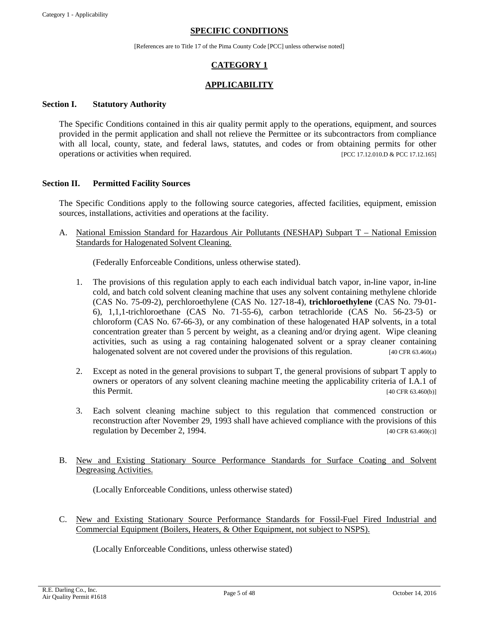#### **SPECIFIC CONDITIONS**

[References are to Title 17 of the Pima County Code [PCC] unless otherwise noted]

# **CATEGORY 1**

# **APPLICABILITY**

#### **Section I. Statutory Authority**

The Specific Conditions contained in this air quality permit apply to the operations, equipment, and sources provided in the permit application and shall not relieve the Permittee or its subcontractors from compliance with all local, county, state, and federal laws, statutes, and codes or from obtaining permits for other operations or activities when required. [PCC 17.12.010.D & PCC 17.12.165]

#### <span id="page-4-0"></span>**Section II. Permitted Facility Sources**

The Specific Conditions apply to the following source categories, affected facilities, equipment, emission sources, installations, activities and operations at the facility.

A. National Emission Standard for Hazardous Air Pollutants (NESHAP) Subpart T – National Emission Standards for Halogenated Solvent Cleaning.

(Federally Enforceable Conditions, unless otherwise stated).

- 1. The provisions of this regulation apply to each each individual batch vapor, in-line vapor, in-line cold, and batch cold solvent cleaning machine that uses any solvent containing methylene chloride (CAS No. 75-09-2), perchloroethylene (CAS No. 127-18-4), **trichloroethylene** (CAS No. 79-01- 6), 1,1,1-trichloroethane (CAS No. 71-55-6), carbon tetrachloride (CAS No. 56-23-5) or chloroform (CAS No. 67-66-3), or any combination of these halogenated HAP solvents, in a total concentration greater than 5 percent by weight, as a cleaning and/or drying agent. Wipe cleaning activities, such as using a rag containing halogenated solvent or a spray cleaner containing halogenated solvent are not covered under the provisions of this regulation. [40 CFR 63.460(a)]
- 2. Except as noted in the general provisions to subpart T, the general provisions of subpart T apply to owners or operators of any solvent cleaning machine meeting the applicability criteria of I.A.1 of  $\frac{1}{40}$  CFR 63.460(b)]  $\frac{1}{40}$  CFR 63.460(b)]
- 3. Each solvent cleaning machine subject to this regulation that commenced construction or reconstruction after November 29, 1993 shall have achieved compliance with the provisions of this regulation by December 2, 1994.  $[40 \text{ CFR } 63.460 \text{ (c)}]$
- B. New and Existing Stationary Source Performance Standards for Surface Coating and Solvent Degreasing Activities.

(Locally Enforceable Conditions, unless otherwise stated)

C. New and Existing Stationary Source Performance Standards for Fossil-Fuel Fired Industrial and Commercial Equipment (Boilers, Heaters, & Other Equipment, not subject to NSPS).

(Locally Enforceable Conditions, unless otherwise stated)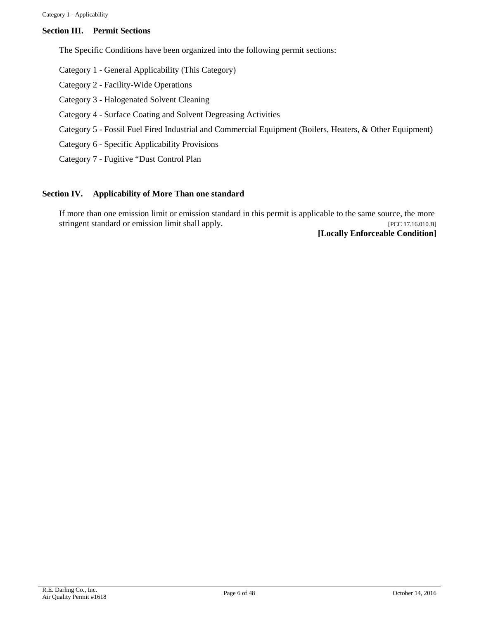## **Section III. Permit Sections**

The Specific Conditions have been organized into the following permit sections:

Category 1 - General Applicability (This Category)

Category 2 - Facility-Wide Operations

Category 3 - Halogenated Solvent Cleaning

- Category 4 Surface Coating and Solvent Degreasing Activities
- Category 5 Fossil Fuel Fired Industrial and Commercial Equipment (Boilers, Heaters, & Other Equipment)
- Category 6 Specific Applicability Provisions
- Category 7 Fugitive "Dust Control Plan

#### **Section IV. Applicability of More Than one standard**

If more than one emission limit or emission standard in this permit is applicable to the same source, the more stringent standard or emission limit shall apply. [PCC 17.16.010.B]

**[Locally Enforceable Condition]**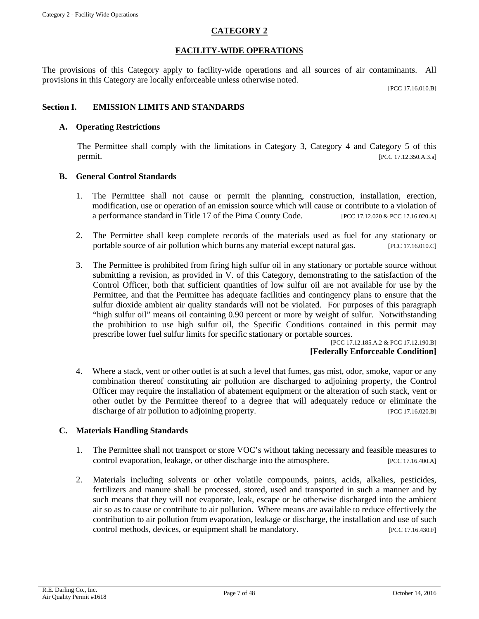# **CATEGORY 2**

## **FACILITY-WIDE OPERATIONS**

<span id="page-6-0"></span>The provisions of this Category apply to facility-wide operations and all sources of air contaminants. All provisions in this Category are locally enforceable unless otherwise noted.

[PCC 17.16.010.B]

# **Section I. EMISSION LIMITS AND STANDARDS**

#### **A. Operating Restrictions**

The Permittee shall comply with the limitations in Category 3, Category 4 and Category 5 of this permit. [PCC 17.12.350.A.3.a]

#### **B. General Control Standards**

- 1. The Permittee shall not cause or permit the planning, construction, installation, erection, modification, use or operation of an emission source which will cause or contribute to a violation of a performance standard in Title 17 of the Pima County Code. [PCC 17.12.020 & PCC 17.16.020.A]
- 2. The Permittee shall keep complete records of the materials used as fuel for any stationary or portable source of air pollution which burns any material except natural gas. [PCC 17.16.010.C]
- 3. The Permittee is prohibited from firing high sulfur oil in any stationary or portable source without submitting a revision, as provided in V. of this Category, demonstrating to the satisfaction of the Control Officer, both that sufficient quantities of low sulfur oil are not available for use by the Permittee, and that the Permittee has adequate facilities and contingency plans to ensure that the sulfur dioxide ambient air quality standards will not be violated. For purposes of this paragraph "high sulfur oil" means oil containing 0.90 percent or more by weight of sulfur. Notwithstanding the prohibition to use high sulfur oil, the Specific Conditions contained in this permit may prescribe lower fuel sulfur limits for specific stationary or portable sources.

[PCC 17.12.185.A.2 & PCC 17.12.190.B] **[Federally Enforceable Condition]**

4. Where a stack, vent or other outlet is at such a level that fumes, gas mist, odor, smoke, vapor or any combination thereof constituting air pollution are discharged to adjoining property, the Control Officer may require the installation of abatement equipment or the alteration of such stack, vent or other outlet by the Permittee thereof to a degree that will adequately reduce or eliminate the discharge of air pollution to adjoining property. [PCC 17.16.020.B]

#### **C. Materials Handling Standards**

- 1. The Permittee shall not transport or store VOC's without taking necessary and feasible measures to control evaporation, leakage, or other discharge into the atmosphere. [PCC 17.16.400.A]
- 2. Materials including solvents or other volatile compounds, paints, acids, alkalies, pesticides, fertilizers and manure shall be processed, stored, used and transported in such a manner and by such means that they will not evaporate, leak, escape or be otherwise discharged into the ambient air so as to cause or contribute to air pollution. Where means are available to reduce effectively the contribution to air pollution from evaporation, leakage or discharge, the installation and use of such control methods, devices, or equipment shall be mandatory. [PCC 17.16.430.F]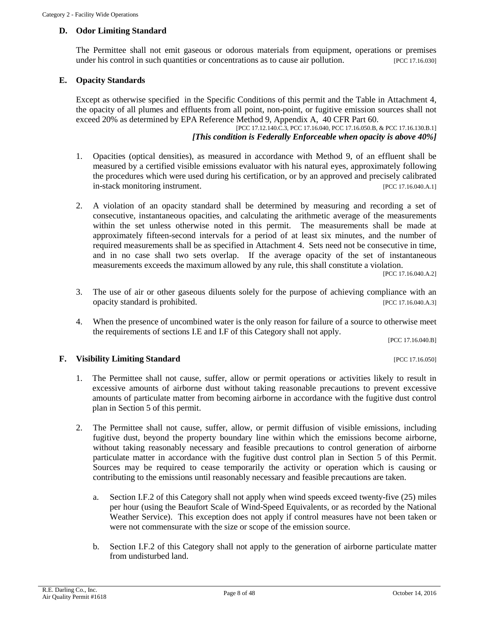## **D. Odor Limiting Standard**

The Permittee shall not emit gaseous or odorous materials from equipment, operations or premises under his control in such quantities or concentrations as to cause air pollution. [PCC 17.16.030]

#### **E. Opacity Standards**

Except as otherwise specified in the Specific Conditions of this permit and the Table in Attachment 4, the opacity of all plumes and effluents from all point, non-point, or fugitive emission sources shall not exceed 20% as determined by EPA Reference Method 9, Appendix A, 40 CFR Part 60.

[PCC 17.12.140.C.3, PCC 17.16.040, PCC 17.16.050.B, & PCC 17.16.130.B.1] *[This condition is Federally Enforceable when opacity is above 40%]*

- 1. Opacities (optical densities), as measured in accordance with Method 9, of an effluent shall be measured by a certified visible emissions evaluator with his natural eyes, approximately following the procedures which were used during his certification, or by an approved and precisely calibrated in-stack monitoring instrument.  $[PCC 17.16.040 \text{ A.1}]$
- 2. A violation of an opacity standard shall be determined by measuring and recording a set of consecutive, instantaneous opacities, and calculating the arithmetic average of the measurements within the set unless otherwise noted in this permit. The measurements shall be made at approximately fifteen-second intervals for a period of at least six minutes, and the number of required measurements shall be as specified in Attachment 4. Sets need not be consecutive in time, and in no case shall two sets overlap. If the average opacity of the set of instantaneous measurements exceeds the maximum allowed by any rule, this shall constitute a violation.

[PCC 17.16.040.A.2]

- 3. The use of air or other gaseous diluents solely for the purpose of achieving compliance with an opacity standard is prohibited. [PCC 17.16.040.A.3]
- 4. When the presence of uncombined water is the only reason for failure of a source to otherwise meet the requirements of sections I.E and I.F of this Category shall not apply.

[PCC 17.16.040.B]

#### **F. Visibility Limiting Standard Example 2018 EXAMPLE 2018 12:35 PCC 17.16.050**

- 1. The Permittee shall not cause, suffer, allow or permit operations or activities likely to result in excessive amounts of airborne dust without taking reasonable precautions to prevent excessive amounts of particulate matter from becoming airborne in accordance with the fugitive dust control plan in Section 5 of this permit.
- 2. The Permittee shall not cause, suffer, allow, or permit diffusion of visible emissions, including fugitive dust, beyond the property boundary line within which the emissions become airborne, without taking reasonably necessary and feasible precautions to control generation of airborne particulate matter in accordance with the fugitive dust control plan in Section 5 of this Permit. Sources may be required to cease temporarily the activity or operation which is causing or contributing to the emissions until reasonably necessary and feasible precautions are taken.
	- a. Section I.F.2 of this Category shall not apply when wind speeds exceed twenty-five (25) miles per hour (using the Beaufort Scale of Wind-Speed Equivalents, or as recorded by the National Weather Service). This exception does not apply if control measures have not been taken or were not commensurate with the size or scope of the emission source.
	- b. Section I.F.2 of this Category shall not apply to the generation of airborne particulate matter from undisturbed land.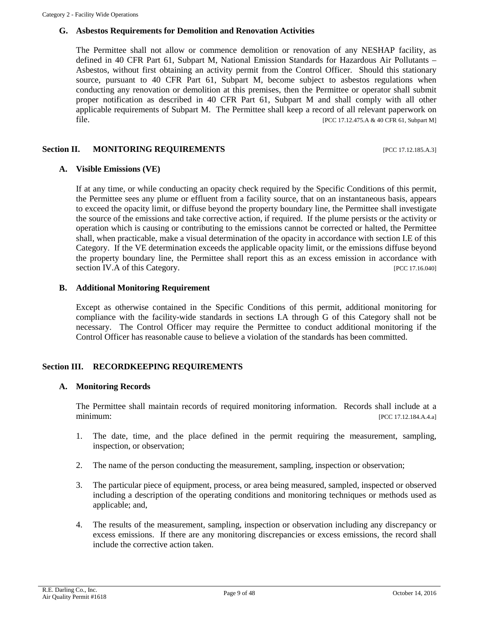#### **G. Asbestos Requirements for Demolition and Renovation Activities**

The Permittee shall not allow or commence demolition or renovation of any NESHAP facility, as defined in 40 CFR Part 61, Subpart M, National Emission Standards for Hazardous Air Pollutants – Asbestos, without first obtaining an activity permit from the Control Officer. Should this stationary source, pursuant to 40 CFR Part 61, Subpart M, become subject to asbestos regulations when conducting any renovation or demolition at this premises, then the Permittee or operator shall submit proper notification as described in 40 CFR Part 61, Subpart M and shall comply with all other applicable requirements of Subpart M. The Permittee shall keep a record of all relevant paperwork on **file.** [PCC 17.12.475.A & 40 CFR 61, Subpart M]

#### **Section II. MONITORING REQUIREMENTS** [PCC 17.12.185.A.3]

#### **A. Visible Emissions (VE)**

If at any time, or while conducting an opacity check required by the Specific Conditions of this permit, the Permittee sees any plume or effluent from a facility source, that on an instantaneous basis, appears to exceed the opacity limit, or diffuse beyond the property boundary line, the Permittee shall investigate the source of the emissions and take corrective action, if required. If the plume persists or the activity or operation which is causing or contributing to the emissions cannot be corrected or halted, the Permittee shall, when practicable, make a visual determination of the opacity in accordance with section I.E of this Category. If the VE determination exceeds the applicable opacity limit, or the emissions diffuse beyond the property boundary line, the Permittee shall report this as an excess emission in accordance with section IV.A of this Category. [PCC 17.16.040]

## **B. Additional Monitoring Requirement**

Except as otherwise contained in the Specific Conditions of this permit, additional monitoring for compliance with the facility-wide standards in sections I.A through G of this Category shall not be necessary. The Control Officer may require the Permittee to conduct additional monitoring if the Control Officer has reasonable cause to believe a violation of the standards has been committed.

#### **Section III. RECORDKEEPING REQUIREMENTS**

#### **A. Monitoring Records**

The Permittee shall maintain records of required monitoring information. Records shall include at a minimum: [PCC 17.12.184.A.4.a]

- 1. The date, time, and the place defined in the permit requiring the measurement, sampling, inspection, or observation;
- 2. The name of the person conducting the measurement, sampling, inspection or observation;
- 3. The particular piece of equipment, process, or area being measured, sampled, inspected or observed including a description of the operating conditions and monitoring techniques or methods used as applicable; and,
- 4. The results of the measurement, sampling, inspection or observation including any discrepancy or excess emissions. If there are any monitoring discrepancies or excess emissions, the record shall include the corrective action taken.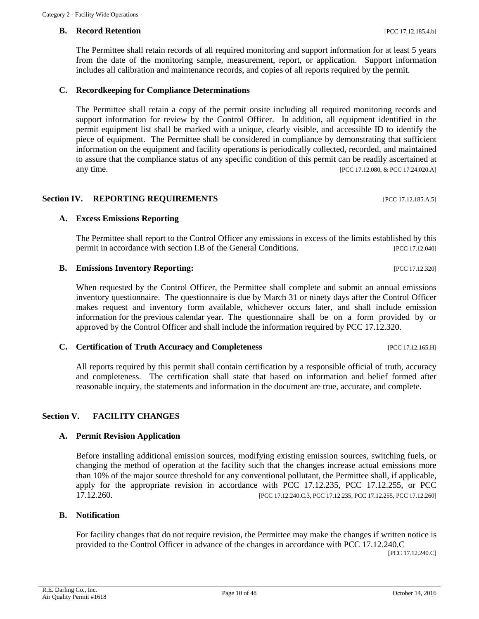#### **B. Record Retention** *PCC 17.12.185.4.b]*

The Permittee shall retain records of all required monitoring and support information for at least 5 years from the date of the monitoring sample, measurement, report, or application. Support information includes all calibration and maintenance records, and copies of all reports required by the permit.

#### **C. Recordkeeping for Compliance Determinations**

The Permittee shall retain a copy of the permit onsite including all required monitoring records and support information for review by the Control Officer. In addition, all equipment identified in the permit equipment list shall be marked with a unique, clearly visible, and accessible ID to identify the piece of equipment. The Permittee shall be considered in compliance by demonstrating that sufficient information on the equipment and facility operations is periodically collected, recorded, and maintained to assure that the compliance status of any specific condition of this permit can be readily ascertained at any time. [PCC 17.12.080, & PCC 17.24.020.A]

#### **Section IV. REPORTING REQUIREMENTS** [PCC 17.12.185.A.5]

#### **A. Excess Emissions Reporting**

The Permittee shall report to the Control Officer any emissions in excess of the limits established by this permit in accordance with section I.B of the General Conditions. [PCC 17.12.040]

#### **B. Emissions Inventory Reporting:**  $[PC C 17.12.320]$

When requested by the Control Officer, the Permittee shall complete and submit an annual emissions inventory questionnaire. The questionnaire is due by March 31 or ninety days after the Control Officer makes request and inventory form available, whichever occurs later, and shall include emission information for the previous calendar year. The questionnaire shall be on a form provided by or approved by the Control Officer and shall include the information required by PCC 17.12.320.

#### **C. Certification of Truth Accuracy and Completeness** [PCC 17.12.165.H]

All reports required by this permit shall contain certification by a responsible official of truth, accuracy and completeness. The certification shall state that based on information and belief formed after reasonable inquiry, the statements and information in the document are true, accurate, and complete.

# **Section V. FACILITY CHANGES**

#### **A. Permit Revision Application**

Before installing additional emission sources, modifying existing emission sources, switching fuels, or changing the method of operation at the facility such that the changes increase actual emissions more than 10% of the major source threshold for any conventional pollutant, the Permittee shall, if applicable, apply for the appropriate revision in accordance with PCC 17.12.235, PCC 17.12.255, or PCC [PCC 17.12.240.C.3, PCC 17.12.235, PCC 17.12.255, PCC 17.12.260]

#### **B. Notification**

For facility changes that do not require revision, the Permittee may make the changes if written notice is provided to the Control Officer in advance of the changes in accordance with PCC 17.12.240.C

[PCC 17.12.240.C]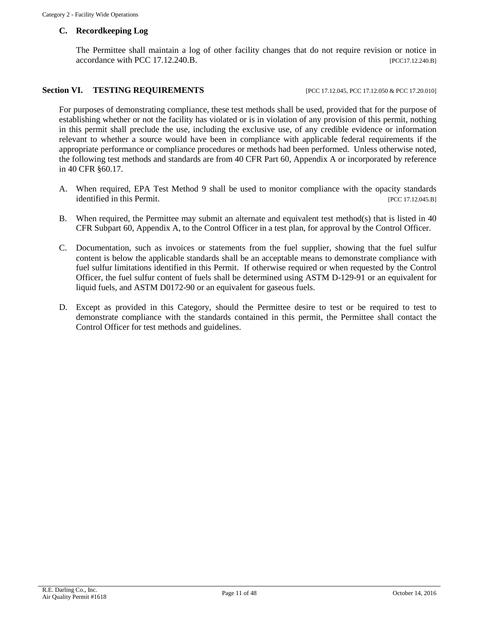## **C. Recordkeeping Log**

The Permittee shall maintain a log of other facility changes that do not require revision or notice in accordance with PCC 17.12.240.B. [PCC17.12.240.B]

# **Section VI. TESTING REQUIREMENTS** [PCC 17.12.045, PCC 17.12.050 & PCC 17.20.010]

For purposes of demonstrating compliance, these test methods shall be used, provided that for the purpose of establishing whether or not the facility has violated or is in violation of any provision of this permit, nothing in this permit shall preclude the use, including the exclusive use, of any credible evidence or information relevant to whether a source would have been in compliance with applicable federal requirements if the appropriate performance or compliance procedures or methods had been performed. Unless otherwise noted, the following test methods and standards are from 40 CFR Part 60, Appendix A or incorporated by reference in 40 CFR §60.17.

- A. When required, EPA Test Method 9 shall be used to monitor compliance with the opacity standards identified in this Permit. [PCC 17.12.045.B]
- B. When required, the Permittee may submit an alternate and equivalent test method(s) that is listed in 40 CFR Subpart 60, Appendix A, to the Control Officer in a test plan, for approval by the Control Officer.
- C. Documentation, such as invoices or statements from the fuel supplier, showing that the fuel sulfur content is below the applicable standards shall be an acceptable means to demonstrate compliance with fuel sulfur limitations identified in this Permit. If otherwise required or when requested by the Control Officer, the fuel sulfur content of fuels shall be determined using ASTM D-129-91 or an equivalent for liquid fuels, and ASTM D0172-90 or an equivalent for gaseous fuels.
- D. Except as provided in this Category, should the Permittee desire to test or be required to test to demonstrate compliance with the standards contained in this permit, the Permittee shall contact the Control Officer for test methods and guidelines.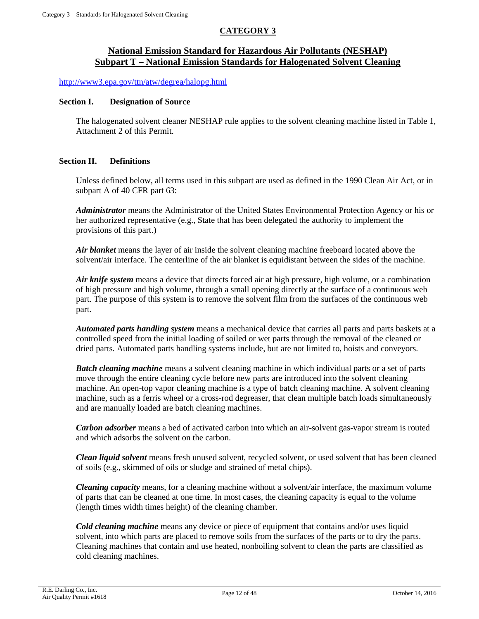# **CATEGORY 3**

# **National Emission Standard for Hazardous Air Pollutants (NESHAP) Subpart T – National Emission Standards for Halogenated Solvent Cleaning**

<http://www3.epa.gov/ttn/atw/degrea/halopg.html>

#### **Section I. Designation of Source**

The halogenated solvent cleaner NESHAP rule applies to the solvent cleaning machine listed in Table 1, Attachment 2 of this Permit.

#### **Section II. Definitions**

<span id="page-11-0"></span>Unless defined below, all terms used in this subpart are used as defined in the 1990 Clean Air Act, or in subpart A of 40 CFR part 63:

*Administrator* means the Administrator of the United States Environmental Protection Agency or his or her authorized representative (e.g., State that has been delegated the authority to implement the provisions of this part.)

*Air blanket* means the layer of air inside the solvent cleaning machine freeboard located above the solvent/air interface. The centerline of the air blanket is equidistant between the sides of the machine.

*Air knife system* means a device that directs forced air at high pressure, high volume, or a combination of high pressure and high volume, through a small opening directly at the surface of a continuous web part. The purpose of this system is to remove the solvent film from the surfaces of the continuous web part.

*Automated parts handling system* means a mechanical device that carries all parts and parts baskets at a controlled speed from the initial loading of soiled or wet parts through the removal of the cleaned or dried parts. Automated parts handling systems include, but are not limited to, hoists and conveyors.

*Batch cleaning machine* means a solvent cleaning machine in which individual parts or a set of parts move through the entire cleaning cycle before new parts are introduced into the solvent cleaning machine. An open-top vapor cleaning machine is a type of batch cleaning machine. A solvent cleaning machine, such as a ferris wheel or a cross-rod degreaser, that clean multiple batch loads simultaneously and are manually loaded are batch cleaning machines.

*Carbon adsorber* means a bed of activated carbon into which an air-solvent gas-vapor stream is routed and which adsorbs the solvent on the carbon.

*Clean liquid solvent* means fresh unused solvent, recycled solvent, or used solvent that has been cleaned of soils (e.g., skimmed of oils or sludge and strained of metal chips).

*Cleaning capacity* means, for a cleaning machine without a solvent/air interface, the maximum volume of parts that can be cleaned at one time. In most cases, the cleaning capacity is equal to the volume (length times width times height) of the cleaning chamber.

*Cold cleaning machine* means any device or piece of equipment that contains and/or uses liquid solvent, into which parts are placed to remove soils from the surfaces of the parts or to dry the parts. Cleaning machines that contain and use heated, nonboiling solvent to clean the parts are classified as cold cleaning machines.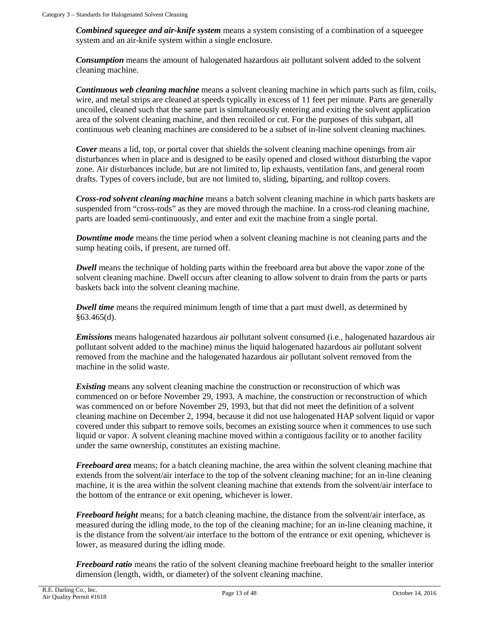*Combined squeegee and air-knife system* means a system consisting of a combination of a squeegee system and an air-knife system within a single enclosure.

*Consumption* means the amount of halogenated hazardous air pollutant solvent added to the solvent cleaning machine.

*Continuous web cleaning machine* means a solvent cleaning machine in which parts such as film, coils, wire, and metal strips are cleaned at speeds typically in excess of 11 feet per minute. Parts are generally uncoiled, cleaned such that the same part is simultaneously entering and exiting the solvent application area of the solvent cleaning machine, and then recoiled or cut. For the purposes of this subpart, all continuous web cleaning machines are considered to be a subset of in-line solvent cleaning machines.

*Cover* means a lid, top, or portal cover that shields the solvent cleaning machine openings from air disturbances when in place and is designed to be easily opened and closed without disturbing the vapor zone. Air disturbances include, but are not limited to, lip exhausts, ventilation fans, and general room drafts. Types of covers include, but are not limited to, sliding, biparting, and rolltop covers.

*Cross-rod solvent cleaning machine* means a batch solvent cleaning machine in which parts baskets are suspended from "cross-rods" as they are moved through the machine. In a cross-rod cleaning machine, parts are loaded semi-continuously, and enter and exit the machine from a single portal.

*Downtime mode* means the time period when a solvent cleaning machine is not cleaning parts and the sump heating coils, if present, are turned off.

*Dwell* means the technique of holding parts within the freeboard area but above the vapor zone of the solvent cleaning machine. Dwell occurs after cleaning to allow solvent to drain from the parts or parts baskets back into the solvent cleaning machine.

*Dwell time* means the required minimum length of time that a part must dwell, as determined by §63.465(d).

*Emissions* means halogenated hazardous air pollutant solvent consumed (i.e., halogenated hazardous air pollutant solvent added to the machine) minus the liquid halogenated hazardous air pollutant solvent removed from the machine and the halogenated hazardous air pollutant solvent removed from the machine in the solid waste.

**Existing** means any solvent cleaning machine the construction or reconstruction of which was commenced on or before November 29, 1993. A machine, the construction or reconstruction of which was commenced on or before November 29, 1993, but that did not meet the definition of a solvent cleaning machine on December 2, 1994, because it did not use halogenated HAP solvent liquid or vapor covered under this subpart to remove soils, becomes an existing source when it commences to use such liquid or vapor. A solvent cleaning machine moved within a contiguous facility or to another facility under the same ownership, constitutes an existing machine.

*Freeboard area* means; for a batch cleaning machine, the area within the solvent cleaning machine that extends from the solvent/air interface to the top of the solvent cleaning machine; for an in-line cleaning machine, it is the area within the solvent cleaning machine that extends from the solvent/air interface to the bottom of the entrance or exit opening, whichever is lower.

*Freeboard height* means; for a batch cleaning machine, the distance from the solvent/air interface, as measured during the idling mode, to the top of the cleaning machine; for an in-line cleaning machine, it is the distance from the solvent/air interface to the bottom of the entrance or exit opening, whichever is lower, as measured during the idling mode.

*Freeboard ratio* means the ratio of the solvent cleaning machine freeboard height to the smaller interior dimension (length, width, or diameter) of the solvent cleaning machine.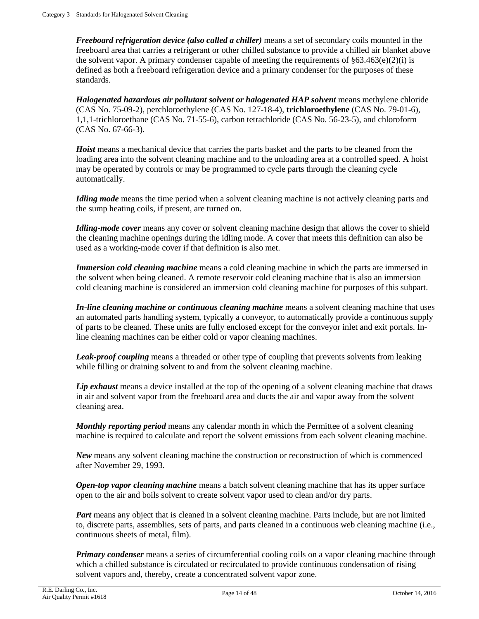*Freeboard refrigeration device (also called a chiller)* means a set of secondary coils mounted in the freeboard area that carries a refrigerant or other chilled substance to provide a chilled air blanket above the solvent vapor. A primary condenser capable of meeting the requirements of  $\S 63.463(e)(2)(i)$  is defined as both a freeboard refrigeration device and a primary condenser for the purposes of these standards.

*Halogenated hazardous air pollutant solvent or halogenated HAP solvent* means methylene chloride (CAS No. 75-09-2), perchloroethylene (CAS No. 127-18-4), **trichloroethylene** (CAS No. 79-01-6), 1,1,1-trichloroethane (CAS No. 71-55-6), carbon tetrachloride (CAS No. 56-23-5), and chloroform (CAS No. 67-66-3).

*Hoist* means a mechanical device that carries the parts basket and the parts to be cleaned from the loading area into the solvent cleaning machine and to the unloading area at a controlled speed. A hoist may be operated by controls or may be programmed to cycle parts through the cleaning cycle automatically.

*Idling mode* means the time period when a solvent cleaning machine is not actively cleaning parts and the sump heating coils, if present, are turned on.

*Idling-mode cover* means any cover or solvent cleaning machine design that allows the cover to shield the cleaning machine openings during the idling mode. A cover that meets this definition can also be used as a working-mode cover if that definition is also met.

*Immersion cold cleaning machine* means a cold cleaning machine in which the parts are immersed in the solvent when being cleaned. A remote reservoir cold cleaning machine that is also an immersion cold cleaning machine is considered an immersion cold cleaning machine for purposes of this subpart.

*In-line cleaning machine or continuous cleaning machine* means a solvent cleaning machine that uses an automated parts handling system, typically a conveyor, to automatically provide a continuous supply of parts to be cleaned. These units are fully enclosed except for the conveyor inlet and exit portals. Inline cleaning machines can be either cold or vapor cleaning machines.

*Leak-proof coupling* means a threaded or other type of coupling that prevents solvents from leaking while filling or draining solvent to and from the solvent cleaning machine.

*Lip exhaust* means a device installed at the top of the opening of a solvent cleaning machine that draws in air and solvent vapor from the freeboard area and ducts the air and vapor away from the solvent cleaning area.

*Monthly reporting period* means any calendar month in which the Permittee of a solvent cleaning machine is required to calculate and report the solvent emissions from each solvent cleaning machine.

*New* means any solvent cleaning machine the construction or reconstruction of which is commenced after November 29, 1993.

*Open-top vapor cleaning machine* means a batch solvent cleaning machine that has its upper surface open to the air and boils solvent to create solvent vapor used to clean and/or dry parts.

*Part* means any object that is cleaned in a solvent cleaning machine. Parts include, but are not limited to, discrete parts, assemblies, sets of parts, and parts cleaned in a continuous web cleaning machine (i.e., continuous sheets of metal, film).

*Primary condenser* means a series of circumferential cooling coils on a vapor cleaning machine through which a chilled substance is circulated or recirculated to provide continuous condensation of rising solvent vapors and, thereby, create a concentrated solvent vapor zone.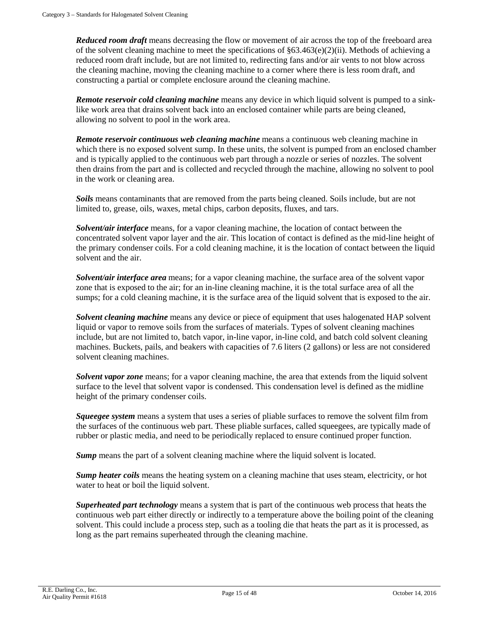*Reduced room draft* means decreasing the flow or movement of air across the top of the freeboard area of the solvent cleaning machine to meet the specifications of  $\S 63.463(e)(2)(ii)$ . Methods of achieving a reduced room draft include, but are not limited to, redirecting fans and/or air vents to not blow across the cleaning machine, moving the cleaning machine to a corner where there is less room draft, and constructing a partial or complete enclosure around the cleaning machine.

*Remote reservoir cold cleaning machine* means any device in which liquid solvent is pumped to a sinklike work area that drains solvent back into an enclosed container while parts are being cleaned, allowing no solvent to pool in the work area.

*Remote reservoir continuous web cleaning machine* means a continuous web cleaning machine in which there is no exposed solvent sump. In these units, the solvent is pumped from an enclosed chamber and is typically applied to the continuous web part through a nozzle or series of nozzles. The solvent then drains from the part and is collected and recycled through the machine, allowing no solvent to pool in the work or cleaning area.

*Soils* means contaminants that are removed from the parts being cleaned. Soils include, but are not limited to, grease, oils, waxes, metal chips, carbon deposits, fluxes, and tars.

*Solvent/air interface* means, for a vapor cleaning machine, the location of contact between the concentrated solvent vapor layer and the air. This location of contact is defined as the mid-line height of the primary condenser coils. For a cold cleaning machine, it is the location of contact between the liquid solvent and the air.

**Solvent/air interface area** means; for a vapor cleaning machine, the surface area of the solvent vapor zone that is exposed to the air; for an in-line cleaning machine, it is the total surface area of all the sumps; for a cold cleaning machine, it is the surface area of the liquid solvent that is exposed to the air.

*Solvent cleaning machine* means any device or piece of equipment that uses halogenated HAP solvent liquid or vapor to remove soils from the surfaces of materials. Types of solvent cleaning machines include, but are not limited to, batch vapor, in-line vapor, in-line cold, and batch cold solvent cleaning machines. Buckets, pails, and beakers with capacities of 7.6 liters (2 gallons) or less are not considered solvent cleaning machines.

*Solvent vapor zone* means; for a vapor cleaning machine, the area that extends from the liquid solvent surface to the level that solvent vapor is condensed. This condensation level is defined as the midline height of the primary condenser coils.

*Squeegee system* means a system that uses a series of pliable surfaces to remove the solvent film from the surfaces of the continuous web part. These pliable surfaces, called squeegees, are typically made of rubber or plastic media, and need to be periodically replaced to ensure continued proper function.

**Sump** means the part of a solvent cleaning machine where the liquid solvent is located.

**Sump heater coils** means the heating system on a cleaning machine that uses steam, electricity, or hot water to heat or boil the liquid solvent.

*Superheated part technology* means a system that is part of the continuous web process that heats the continuous web part either directly or indirectly to a temperature above the boiling point of the cleaning solvent. This could include a process step, such as a tooling die that heats the part as it is processed, as long as the part remains superheated through the cleaning machine.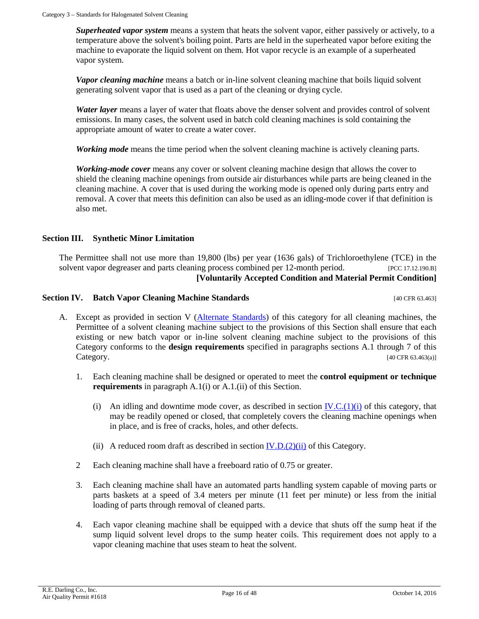*Superheated vapor system* means a system that heats the solvent vapor, either passively or actively, to a temperature above the solvent's boiling point. Parts are held in the superheated vapor before exiting the machine to evaporate the liquid solvent on them. Hot vapor recycle is an example of a superheated vapor system.

*Vapor cleaning machine* means a batch or in-line solvent cleaning machine that boils liquid solvent generating solvent vapor that is used as a part of the cleaning or drying cycle.

*Water layer* means a layer of water that floats above the denser solvent and provides control of solvent emissions. In many cases, the solvent used in batch cold cleaning machines is sold containing the appropriate amount of water to create a water cover.

*Working mode* means the time period when the solvent cleaning machine is actively cleaning parts.

*Working-mode cover* means any cover or solvent cleaning machine design that allows the cover to shield the cleaning machine openings from outside air disturbances while parts are being cleaned in the cleaning machine. A cover that is used during the working mode is opened only during parts entry and removal. A cover that meets this definition can also be used as an idling-mode cover if that definition is also met.

# **Section III. Synthetic Minor Limitation**

The Permittee shall not use more than 19,800 (lbs) per year (1636 gals) of Trichloroethylene (TCE) in the solvent vapor degreaser and parts cleaning process combined per 12-month period. [PCC 17.12.190.B] **[Voluntarily Accepted Condition and Material Permit Condition]**

# <span id="page-15-1"></span>**Section IV. Batch Vapor Cleaning Machine Standards** [40 CFR 63.463]

- <span id="page-15-0"></span>A. Except as provided in section V [\(Alternate Standards\)](#page-21-0) of this category for all cleaning machines, the Permittee of a solvent cleaning machine subject to the provisions of this Section shall ensure that each existing or new batch vapor or in-line solvent cleaning machine subject to the provisions of this Category conforms to the **design requirements** specified in paragraphs sections A.1 through 7 of this Category. [40 CFR 63.463(a)]
	- 1. Each cleaning machine shall be designed or operated to meet the **control equipment or technique requirements** in paragraph A.1(i) or A.1.(ii) of this Section.
		- (i) An idling and downtime mode cover, as described in section  $IV.C.(1)(i)$  of this category, that may be readily opened or closed, that completely covers the cleaning machine openings when in place, and is free of cracks, holes, and other defects.
		- (ii) A reduced room draft as described in section  $[V.D.(2)(ii)$  of this Category.
	- 2 Each cleaning machine shall have a freeboard ratio of 0.75 or greater.
	- 3. Each cleaning machine shall have an automated parts handling system capable of moving parts or parts baskets at a speed of 3.4 meters per minute (11 feet per minute) or less from the initial loading of parts through removal of cleaned parts.
	- 4. Each vapor cleaning machine shall be equipped with a device that shuts off the sump heat if the sump liquid solvent level drops to the sump heater coils. This requirement does not apply to a vapor cleaning machine that uses steam to heat the solvent.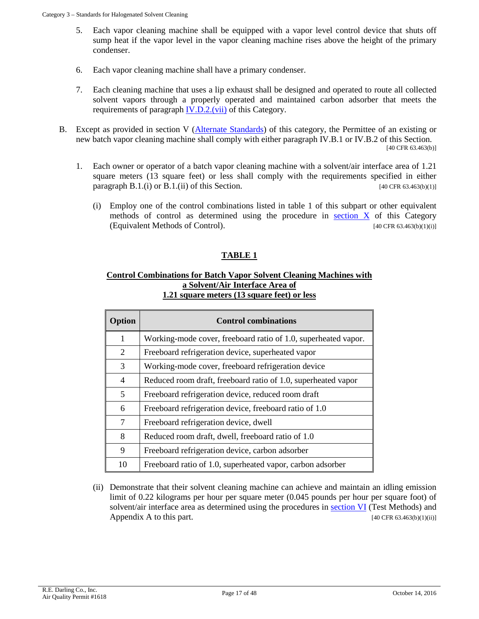- 5. Each vapor cleaning machine shall be equipped with a vapor level control device that shuts off sump heat if the vapor level in the vapor cleaning machine rises above the height of the primary condenser.
- 6. Each vapor cleaning machine shall have a primary condenser.
- 7. Each cleaning machine that uses a lip exhaust shall be designed and operated to route all collected solvent vapors through a properly operated and maintained carbon adsorber that meets the requirements of paragraph [IV.D.2.\(vii\)](#page-19-0) of this Category.
- <span id="page-16-2"></span><span id="page-16-0"></span>B. Except as provided in section V [\(Alternate Standards\)](#page-21-0) of this category, the Permittee of an existing or new batch vapor cleaning machine shall comply with either paragraph IV.B.1 or IV.B.2 of this Section. [40 CFR 63.463(b)]
	- 1. Each owner or operator of a batch vapor cleaning machine with a solvent/air interface area of 1.21 square meters (13 square feet) or less shall comply with the requirements specified in either paragraph  $B.1.(\text{i})$  or  $B.1.(\text{ii})$  of this Section. [40 CFR 63.463(b)(1)]
		- (i) Employ one of the control combinations listed in table 1 of this subpart or other equivalent methods of control as determined using the procedure in [section X](#page-34-0) of this Category (Equivalent Methods of Control).  $[40 \text{ CFR } 63.463(b)(1)(i)]$

# **TABLE 1**

## **Control Combinations for Batch Vapor Solvent Cleaning Machines with a Solvent/Air Interface Area of 1.21 square meters (13 square feet) or less**

| Option                   | <b>Control combinations</b>                                    |  |  |
|--------------------------|----------------------------------------------------------------|--|--|
| 1                        | Working-mode cover, freeboard ratio of 1.0, superheated vapor. |  |  |
| 2                        | Freeboard refrigeration device, superheated vapor              |  |  |
| 3                        | Working-mode cover, freeboard refrigeration device             |  |  |
| $\overline{\mathcal{A}}$ | Reduced room draft, freeboard ratio of 1.0, superheated vapor  |  |  |
| 5                        | Freeboard refrigeration device, reduced room draft             |  |  |
| 6                        | Freeboard refrigeration device, freeboard ratio of 1.0         |  |  |
| 7                        | Freeboard refrigeration device, dwell                          |  |  |
| 8                        | Reduced room draft, dwell, freeboard ratio of 1.0              |  |  |
| 9                        | Freeboard refrigeration device, carbon adsorber                |  |  |
| 10                       | Freeboard ratio of 1.0, superheated vapor, carbon adsorber     |  |  |

<span id="page-16-1"></span>(ii) Demonstrate that their solvent cleaning machine can achieve and maintain an idling emission limit of 0.22 kilograms per hour per square meter (0.045 pounds per hour per square foot) of solvent/air interface area as determined using the procedures in **section VI** (Test Methods) and Appendix A to this part.  $[40 \text{ CFR } 63.463(b)(1)(ii)]$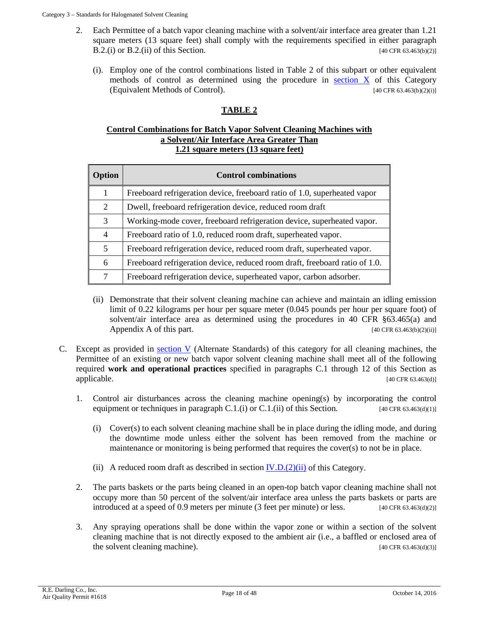- <span id="page-17-2"></span>2. Each Permittee of a batch vapor cleaning machine with a solvent/air interface area greater than 1.21 square meters (13 square feet) shall comply with the requirements specified in either paragraph B.2.(i) or B.2.(ii) of this Section. [40 CFR 63.463(b)(2)]
	- (i). Employ one of the control combinations listed in Table 2 of this subpart or other equivalent methods of control as determined using the procedure in [section X](#page-34-0) of this Category (Equivalent Methods of Control).  $[40 \text{ CFR } 63.463(b)(2)(i)]$

# **TABLE 2**

#### **Control Combinations for Batch Vapor Solvent Cleaning Machines with a Solvent/Air Interface Area Greater Than 1.21 square meters (13 square feet)**

| Option         | <b>Control combinations</b>                                                 |
|----------------|-----------------------------------------------------------------------------|
| 1              | Freeboard refrigeration device, freeboard ratio of 1.0, superheated vapor   |
| 2              | Dwell, freeboard refrigeration device, reduced room draft                   |
| 3              | Working-mode cover, freeboard refrigeration device, superheated vapor.      |
| $\overline{4}$ | Freeboard ratio of 1.0, reduced room draft, superheated vapor.              |
| 5              | Freeboard refrigeration device, reduced room draft, superheated vapor.      |
| 6              | Freeboard refrigeration device, reduced room draft, freeboard ratio of 1.0. |
| 7              | Freeboard refrigeration device, superheated vapor, carbon adsorber.         |

- <span id="page-17-1"></span>(ii) Demonstrate that their solvent cleaning machine can achieve and maintain an idling emission limit of 0.22 kilograms per hour per square meter (0.045 pounds per hour per square foot) of solvent/air interface area as determined using the procedures in 40 CFR §63.465(a) and Appendix A of this part.  $[40 \text{ CFR } 63.463(b)(2)(ii)]$
- <span id="page-17-0"></span>C. Except as provided in [section V](#page-21-0) (Alternate Standards) of this category for all cleaning machines, the Permittee of an existing or new batch vapor solvent cleaning machine shall meet all of the following required **work and operational practices** specified in paragraphs C.1 through 12 of this Section as  $applied$ explicable. [40 CFR 63.463(d)]
	- 1. Control air disturbances across the cleaning machine opening(s) by incorporating the control equipment or techniques in paragraph C.1.(i) or C.1.(ii) of this Section.  $[40 \text{ CFR } 63.463 \text{ (d)}(1)]$ 
		- (i) Cover(s) to each solvent cleaning machine shall be in place during the idling mode, and during the downtime mode unless either the solvent has been removed from the machine or maintenance or monitoring is being performed that requires the cover(s) to not be in place.
		- (ii) A reduced room draft as described in section  $\underline{IV.D.(2)(ii)}$  of this Category.
	- 2. The parts baskets or the parts being cleaned in an open-top batch vapor cleaning machine shall not occupy more than 50 percent of the solvent/air interface area unless the parts baskets or parts are introduced at a speed of 0.9 meters per minute (3 feet per minute) or less. [40 CFR 63.463(d)(2)]
	- 3. Any spraying operations shall be done within the vapor zone or within a section of the solvent cleaning machine that is not directly exposed to the ambient air (i.e., a baffled or enclosed area of the solvent cleaning machine). [40 CFR 63.463(d)(3)]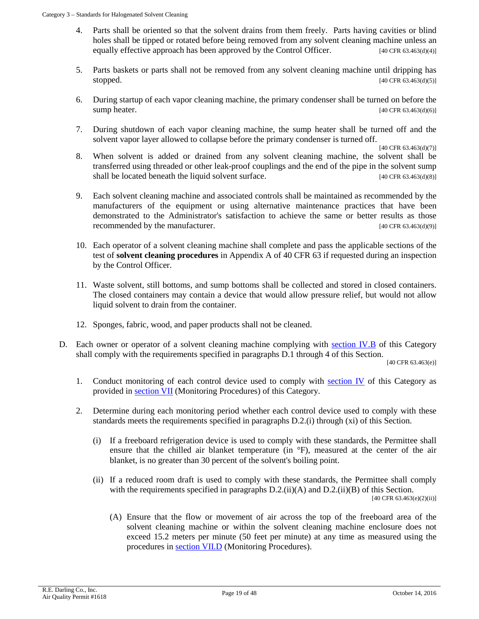- 4. Parts shall be oriented so that the solvent drains from them freely. Parts having cavities or blind holes shall be tipped or rotated before being removed from any solvent cleaning machine unless an equally effective approach has been approved by the Control Officer.  $[40 \text{ CFR } 63.463 \text{ (d)}(4)]$
- 5. Parts baskets or parts shall not be removed from any solvent cleaning machine until dripping has stopped.  $[40 \text{ CFR } 63.463 \text{ (d)}(5)]$
- 6. During startup of each vapor cleaning machine, the primary condenser shall be turned on before the sump heater.  $[40 \text{ CFR } 63.463 \text{ (d)}(6)]$
- 7. During shutdown of each vapor cleaning machine, the sump heater shall be turned off and the solvent vapor layer allowed to collapse before the primary condenser is turned off.

[40 CFR 63.463(d)(7)]

- 8. When solvent is added or drained from any solvent cleaning machine, the solvent shall be transferred using threaded or other leak-proof couplings and the end of the pipe in the solvent sump shall be located beneath the liquid solvent surface. [40 CFR 63.463(d)(8)]
- <span id="page-18-6"></span>9. Each solvent cleaning machine and associated controls shall be maintained as recommended by the manufacturers of the equipment or using alternative maintenance practices that have been demonstrated to the Administrator's satisfaction to achieve the same or better results as those recommended by the manufacturer. [40 CFR 63.463(d)(9)]
- <span id="page-18-5"></span>10. Each operator of a solvent cleaning machine shall complete and pass the applicable sections of the test of **solvent cleaning procedures** in Appendix A of 40 CFR 63 if requested during an inspection by the Control Officer.
- 11. Waste solvent, still bottoms, and sump bottoms shall be collected and stored in closed containers. The closed containers may contain a device that would allow pressure relief, but would not allow liquid solvent to drain from the container.
- 12. Sponges, fabric, wood, and paper products shall not be cleaned.
- <span id="page-18-4"></span>D. Each owner or operator of a solvent cleaning machine complying with [section IV.B](#page-16-0) of this Category shall comply with the requirements specified in paragraphs D.1 through 4 of this Section.

[40 CFR 63.463(e)]

- 1. Conduct monitoring of each control device used to comply with [section IV](#page-15-0) of this Category as provided in [section VII](#page-26-0) (Monitoring Procedures) of this Category.
- <span id="page-18-3"></span><span id="page-18-2"></span><span id="page-18-1"></span><span id="page-18-0"></span>2. Determine during each monitoring period whether each control device used to comply with these standards meets the requirements specified in paragraphs D.2.(i) through (xi) of this Section.
	- (i) If a freeboard refrigeration device is used to comply with these standards, the Permittee shall ensure that the chilled air blanket temperature (in °F), measured at the center of the air blanket, is no greater than 30 percent of the solvent's boiling point.
	- (ii) If a reduced room draft is used to comply with these standards, the Permittee shall comply with the requirements specified in paragraphs D.2.(ii)(A) and D.2.(ii)(B) of this Section. [40 CFR 63.463(e)(2)(ii)]
		- (A) Ensure that the flow or movement of air across the top of the freeboard area of the solvent cleaning machine or within the solvent cleaning machine enclosure does not exceed 15.2 meters per minute (50 feet per minute) at any time as measured using the procedures in [section VII.D](#page-27-0) (Monitoring Procedures).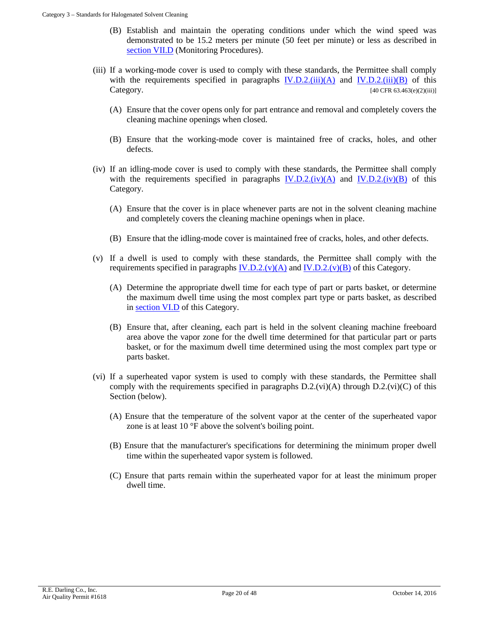- (B) Establish and maintain the operating conditions under which the wind speed was demonstrated to be 15.2 meters per minute (50 feet per minute) or less as described in [section VII.D](#page-27-0) (Monitoring Procedures).
- <span id="page-19-7"></span><span id="page-19-6"></span><span id="page-19-1"></span>(iii) If a working-mode cover is used to comply with these standards, the Permittee shall comply with the requirements specified in paragraphs  $[V.D.2. (iii)(A)$  and  $[V.D.2. (iii)(B)$  of this Category. [40 CFR 63.463(e)(2)(iii)]
	- (A) Ensure that the cover opens only for part entrance and removal and completely covers the cleaning machine openings when closed.
	- (B) Ensure that the working-mode cover is maintained free of cracks, holes, and other defects.
- <span id="page-19-11"></span><span id="page-19-2"></span>(iv) If an idling-mode cover is used to comply with these standards, the Permittee shall comply with the requirements specified in paragraphs  $IV.D.2.(iv)(A)$  and  $IV.D.2.(iv)(B)$  of this Category.
	- (A) Ensure that the cover is in place whenever parts are not in the solvent cleaning machine and completely covers the cleaning machine openings when in place.
	- (B) Ensure that the idling-mode cover is maintained free of cracks, holes, and other defects.
- <span id="page-19-8"></span><span id="page-19-4"></span><span id="page-19-3"></span>(v) If a dwell is used to comply with these standards, the Permittee shall comply with the requirements specified in paragraphs  $IV.D.2.(v)(A)$  and  $IV.D.2.(v)(B)$  of this Category.
	- (A) Determine the appropriate dwell time for each type of part or parts basket, or determine the maximum dwell time using the most complex part type or parts basket, as described in [section VI.D](#page-25-0) of this Category.
	- (B) Ensure that, after cleaning, each part is held in the solvent cleaning machine freeboard area above the vapor zone for the dwell time determined for that particular part or parts basket, or for the maximum dwell time determined using the most complex part type or parts basket.
- <span id="page-19-12"></span><span id="page-19-10"></span><span id="page-19-9"></span><span id="page-19-5"></span><span id="page-19-0"></span>(vi) If a superheated vapor system is used to comply with these standards, the Permittee shall comply with the requirements specified in paragraphs  $D.2(vi)(A)$  through  $D.2(vi)(C)$  of this Section (below).
	- (A) Ensure that the temperature of the solvent vapor at the center of the superheated vapor zone is at least 10 °F above the solvent's boiling point.
	- (B) Ensure that the manufacturer's specifications for determining the minimum proper dwell time within the superheated vapor system is followed.
	- (C) Ensure that parts remain within the superheated vapor for at least the minimum proper dwell time.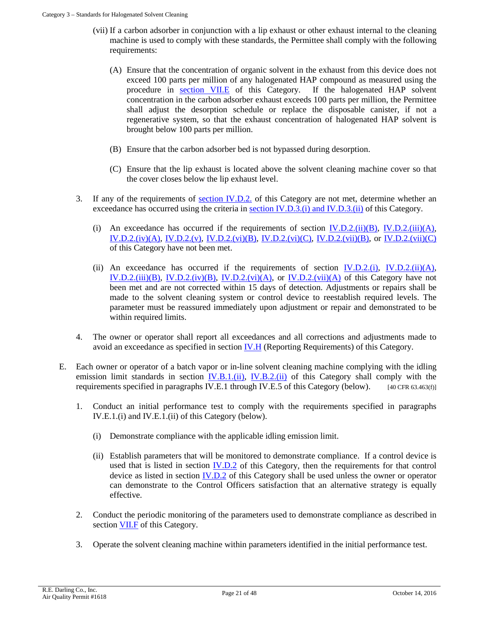- <span id="page-20-3"></span>(vii) If a carbon adsorber in conjunction with a lip exhaust or other exhaust internal to the cleaning machine is used to comply with these standards, the Permittee shall comply with the following requirements:
	- (A) Ensure that the concentration of organic solvent in the exhaust from this device does not exceed 100 parts per million of any halogenated HAP compound as measured using the procedure in [section VII.E](#page-28-0) of this Category. If the halogenated HAP solvent concentration in the carbon adsorber exhaust exceeds 100 parts per million, the Permittee shall adjust the desorption schedule or replace the disposable canister, if not a regenerative system, so that the exhaust concentration of halogenated HAP solvent is brought below 100 parts per million.
	- (B) Ensure that the carbon adsorber bed is not bypassed during desorption.
	- (C) Ensure that the lip exhaust is located above the solvent cleaning machine cover so that the cover closes below the lip exhaust level.
- <span id="page-20-2"></span><span id="page-20-1"></span><span id="page-20-0"></span>3. If any of the requirements of [section IV.D.2.](#page-18-1) of this Category are not met, determine whether an exceedance has occurred using the criteria in [section IV.D.3.\(i\) and IV.D.3.\(ii\)](#page-20-0) of this Category.
	- (i) An exceedance has occurred if the requirements of section  $\underline{IV.D.2.(ii)(B)}$ ,  $\underline{IV.D.2.(iii)(A)}$ ,  $IV.D.2.(iv)(A), IV.D.2.(v), IV.D.2.(vi)(B), IV.D.2.(vi)(C), IV.D.2.(vii)(B), or IV.D.2.(vii)(C)$  $IV.D.2.(iv)(A), IV.D.2.(v), IV.D.2.(vi)(B), IV.D.2.(vi)(C), IV.D.2.(vii)(B), or IV.D.2.(vii)(C)$  $IV.D.2.(iv)(A), IV.D.2.(v), IV.D.2.(vi)(B), IV.D.2.(vi)(C), IV.D.2.(vii)(B), or IV.D.2.(vii)(C)$  $IV.D.2.(iv)(A), IV.D.2.(v), IV.D.2.(vi)(B), IV.D.2.(vi)(C), IV.D.2.(vii)(B), or IV.D.2.(vii)(C)$  $IV.D.2.(iv)(A), IV.D.2.(v), IV.D.2.(vi)(B), IV.D.2.(vi)(C), IV.D.2.(vii)(B), or IV.D.2.(vii)(C)$  $IV.D.2.(iv)(A), IV.D.2.(v), IV.D.2.(vi)(B), IV.D.2.(vi)(C), IV.D.2.(vii)(B), or IV.D.2.(vii)(C)$  $IV.D.2.(iv)(A), IV.D.2.(v), IV.D.2.(vi)(B), IV.D.2.(vi)(C), IV.D.2.(vii)(B), or IV.D.2.(vii)(C)$ of this Category have not been met.
	- (ii) An exceedance has occurred if the requirements of section  $IV.D.2.(i)$ ,  $IV.D.2.(ii)(A)$ , IV.D.2. $(iii)(B)$ , IV.D.2. $(iy)(B)$ , IV.D.2. $(vi)(A)$ , or IV.D.2. $(vii)(A)$  of this Category have not been met and are not corrected within 15 days of detection. Adjustments or repairs shall be made to the solvent cleaning system or control device to reestablish required levels. The parameter must be reassured immediately upon adjustment or repair and demonstrated to be within required limits.
- 4. The owner or operator shall report all exceedances and all corrections and adjustments made to avoid an exceedance as specified in section  $IV.H$  (Reporting Requirements) of this Category.</u>
- <span id="page-20-4"></span>E. Each owner or operator of a batch vapor or in-line solvent cleaning machine complying with the idling emission limit standards in section [IV.B.1.\(ii\),](#page-16-1) [IV.B.2.\(ii\)](#page-17-1) of this Category shall comply with the requirements specified in paragraphs IV.E.1 through IV.E.5 of this Category (below). [40 CFR 63.463(f)]
	- 1. Conduct an initial performance test to comply with the requirements specified in paragraphs IV.E.1.(i) and IV.E.1.(ii) of this Category (below).
		- (i) Demonstrate compliance with the applicable idling emission limit.
		- (ii) Establish parameters that will be monitored to demonstrate compliance. If a control device is used that is listed in section [IV.D.2](#page-18-1) of this Category, then the requirements for that control device as listed in section [IV.D.2](#page-18-1) of this Category shall be used unless the owner or operator can demonstrate to the Control Officers satisfaction that an alternative strategy is equally effective.
	- 2. Conduct the periodic monitoring of the parameters used to demonstrate compliance as described in section **VII.F** of this Category.
	- 3. Operate the solvent cleaning machine within parameters identified in the initial performance test.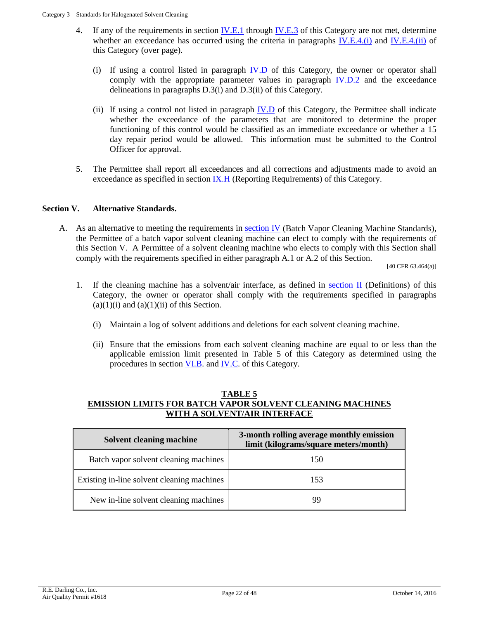- <span id="page-21-1"></span>4. If any of the requirements in section [IV.E.1](#page-20-4) through [IV.E.3](#page-20-4) of this Category are not met, determine whether an exceedance has occurred using the criteria in paragraphs  $IV.E.4$ .(i) and  $IV.E.4$ .(ii) of this Category (over page).
	- (i) If using a control listed in paragraph [IV.D](#page-18-4) of this Category, the owner or operator shall comply with the appropriate parameter values in paragraph  $IV.D.2$  and the exceedance delineations in paragraphs D.3(i) and D.3(ii) of this Category.
	- (ii) If using a control not listed in paragraph [IV.D](#page-18-4) of this Category, the Permittee shall indicate whether the exceedance of the parameters that are monitored to determine the proper functioning of this control would be classified as an immediate exceedance or whether a 15 day repair period would be allowed. This information must be submitted to the Control Officer for approval.
- <span id="page-21-2"></span>5. The Permittee shall report all exceedances and all corrections and adjustments made to avoid an exceedance as specified in section [IX.H](#page-33-0) (Reporting Requirements) of this Category.

# **Section V. Alternative Standards.**

<span id="page-21-3"></span><span id="page-21-0"></span>A. As an alternative to meeting the requirements in **section IV** (Batch Vapor Cleaning Machine Standards), the Permittee of a batch vapor solvent cleaning machine can elect to comply with the requirements of this Section V. A Permittee of a solvent cleaning machine who elects to comply with this Section shall comply with the requirements specified in either paragraph A.1 or A.2 of this Section.

[40 CFR 63.464(a)]

- 1. If the cleaning machine has a solvent/air interface, as defined in [section II](#page-11-0) (Definitions) of this Category, the owner or operator shall comply with the requirements specified in paragraphs  $(a)(1)(i)$  and  $(a)(1)(ii)$  of this Section.
	- (i) Maintain a log of solvent additions and deletions for each solvent cleaning machine.
	- (ii) Ensure that the emissions from each solvent cleaning machine are equal to or less than the applicable emission limit presented in Table 5 of this Category as determined using the procedures in section [VI.B.](#page-24-1) and [IV.C.](#page-24-2) of this Category.

#### **TABLE 5 EMISSION LIMITS FOR BATCH VAPOR SOLVENT CLEANING MACHINES WITH A SOLVENT/AIR INTERFACE**

| Solvent cleaning machine                   | 3-month rolling average monthly emission<br>limit (kilograms/square meters/month) |
|--------------------------------------------|-----------------------------------------------------------------------------------|
| Batch vapor solvent cleaning machines      | 150                                                                               |
| Existing in-line solvent cleaning machines | 153                                                                               |
| New in-line solvent cleaning machines      | QC                                                                                |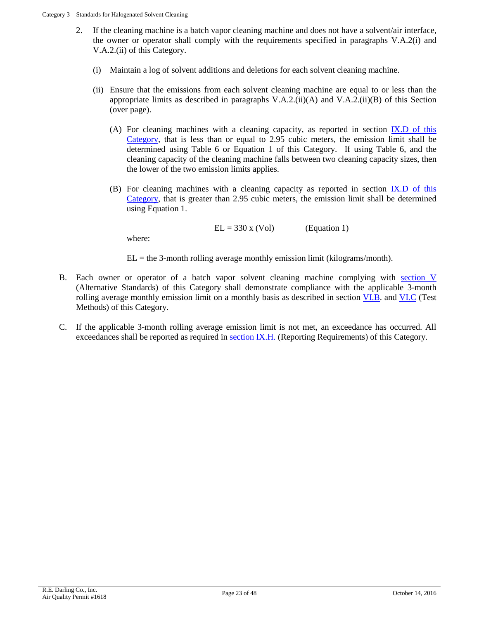- 2. If the cleaning machine is a batch vapor cleaning machine and does not have a solvent/air interface, the owner or operator shall comply with the requirements specified in paragraphs V.A.2(i) and V.A.2.(ii) of this Category.
	- (i) Maintain a log of solvent additions and deletions for each solvent cleaning machine.
	- (ii) Ensure that the emissions from each solvent cleaning machine are equal to or less than the appropriate limits as described in paragraphs  $V.A.2$ .(ii)(A) and  $V.A.2$ .(ii)(B) of this Section (over page).
		- (A) For cleaning machines with a cleaning capacity, as reported in section [IX.D](#page-31-0) of this Category, that is less than or equal to 2.95 cubic meters, the emission limit shall be determined using Table 6 or Equation 1 of this Category. If using Table 6, and the cleaning capacity of the cleaning machine falls between two cleaning capacity sizes, then the lower of the two emission limits applies.
		- (B) For cleaning machines with a cleaning capacity as reported in section  $IX.D$  of this Category, that is greater than 2.95 cubic meters, the emission limit shall be determined using Equation 1.

$$
EL = 330 \times (Vol)
$$
 (Equation 1)

where:

 $EL =$  the 3-month rolling average monthly emission limit (kilograms/month).

- B. Each owner or operator of a batch vapor solvent cleaning machine complying with [section V](#page-21-0) (Alternative Standards) of this Category shall demonstrate compliance with the applicable 3-month rolling average monthly emission limit on a monthly basis as described in section [VI.B.](#page-24-1) and [VI.C](#page-24-2) (Test Methods) of this Category.
- C. If the applicable 3-month rolling average emission limit is not met, an exceedance has occurred. All exceedances shall be reported as required in [section IX.H.](#page-33-0) (Reporting Requirements) of this Category.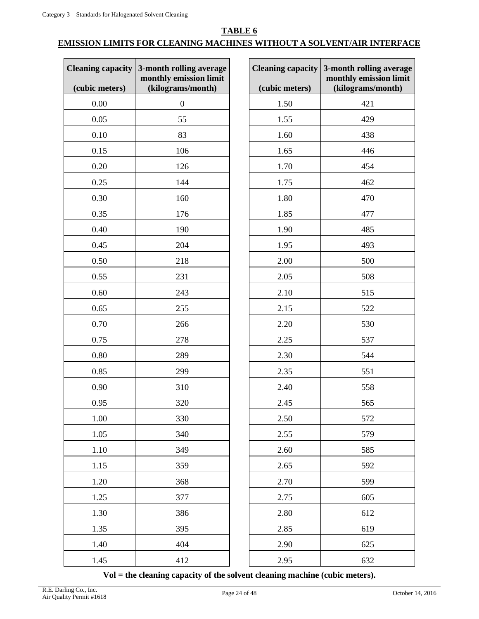**TABLE 6**

# **EMISSION LIMITS FOR CLEANING MACHINES WITHOUT A SOLVENT/AIR INTERFACE**

| <b>Cleaning capacity</b> | 3-month rolling average<br>monthly emission limit | <b>Cleaning capacity 3-month rollin</b> | monthly emis |
|--------------------------|---------------------------------------------------|-----------------------------------------|--------------|
| (cubic meters)           | (kilograms/month)                                 | (cubic meters)                          | (kilograms/  |
| 0.00                     | $\boldsymbol{0}$                                  | 1.50                                    | 421          |
| 0.05                     | 55                                                | 1.55                                    | 429          |
| 0.10                     | 83                                                | 1.60                                    | 438          |
| 0.15                     | 106                                               | 1.65                                    | 446          |
| 0.20                     | 126                                               | 1.70                                    | 454          |
| 0.25                     | 144                                               | 1.75                                    | 462          |
| 0.30                     | 160                                               | 1.80                                    | 470          |
| 0.35                     | 176                                               | 1.85                                    | 477          |
| 0.40                     | 190                                               | 1.90                                    | 485          |
| 0.45                     | 204                                               | 1.95                                    | 493          |
| 0.50                     | 218                                               | 2.00                                    | 500          |
| 0.55                     | 231                                               | 2.05                                    | 508          |
| 0.60                     | 243                                               | 2.10                                    | 515          |
| 0.65                     | 255                                               | 2.15                                    | 522          |
| 0.70                     | 266                                               | 2.20                                    | 530          |
| 0.75                     | 278                                               | 2.25                                    | 537          |
| 0.80                     | 289                                               | 2.30                                    | 544          |
| 0.85                     | 299                                               | 2.35                                    | 551          |
| 0.90                     | 310                                               | 2.40                                    | 558          |
| 0.95                     | 320                                               | 2.45                                    | 565          |
| 1.00                     | 330                                               | 2.50                                    | 572          |
| 1.05                     | 340                                               | 2.55                                    | 579          |
| 1.10                     | 349                                               | 2.60                                    | 585          |
| 1.15                     | 359                                               | 2.65                                    | 592          |
| 1.20                     | 368                                               | 2.70                                    | 599          |
| 1.25                     | 377                                               | 2.75                                    | 605          |
| 1.30                     | 386                                               | 2.80                                    | 612          |
| 1.35                     | 395                                               | 2.85                                    | 619          |
| 1.40                     | 404                                               | 2.90                                    | 625          |
| 1.45                     | 412                                               | 2.95                                    | 632          |

| <b>Cleaning capacity</b><br>(cubic meters) | 3-month rolling average<br>monthly emission limit<br>(kilograms/month) |
|--------------------------------------------|------------------------------------------------------------------------|
| 1.50                                       | 421                                                                    |
| 1.55                                       | 429                                                                    |
| 1.60                                       | 438                                                                    |
| 1.65                                       | 446                                                                    |
| 1.70                                       | 454                                                                    |
| 1.75                                       | 462                                                                    |
| 1.80                                       | 470                                                                    |
| 1.85                                       | 477                                                                    |
| 1.90                                       | 485                                                                    |
| 1.95                                       | 493                                                                    |
| 2.00                                       | 500                                                                    |
| 2.05                                       | 508                                                                    |
| 2.10                                       | 515                                                                    |
| 2.15                                       | 522                                                                    |
| 2.20                                       | 530                                                                    |
| 2.25                                       | 537                                                                    |
| 2.30                                       | 544                                                                    |
| 2.35                                       | 551                                                                    |
| 2.40                                       | 558                                                                    |
| 2.45                                       | 565                                                                    |
| 2.50                                       | 572                                                                    |
| 2.55                                       | 579                                                                    |
| 2.60                                       | 585                                                                    |
| 2.65                                       | 592                                                                    |
| 2.70                                       | 599                                                                    |
| 2.75                                       | 605                                                                    |
| 2.80                                       | 612                                                                    |
| 2.85                                       | 619                                                                    |
| 2.90                                       | 625                                                                    |
| 2.95                                       | 632                                                                    |

**Vol = the cleaning capacity of the solvent cleaning machine (cubic meters).**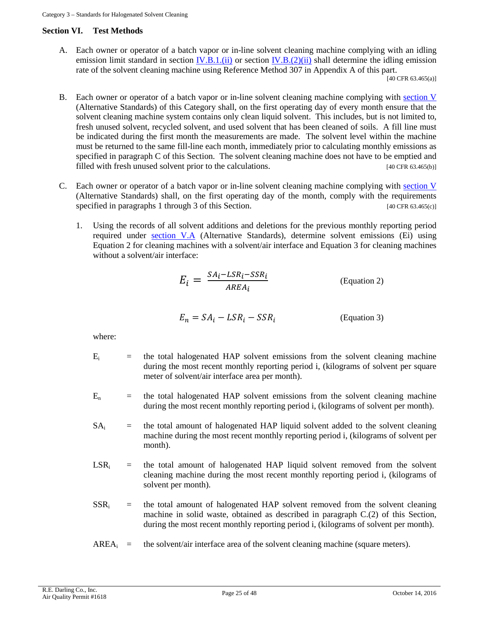#### **Section VI. Test Methods**

<span id="page-24-0"></span>A. Each owner or operator of a batch vapor or in-line solvent cleaning machine complying with an idling emission limit standard in section  $\underline{N.B.1.(ii)}$  or section  $\underline{N.B.}(2)(ii)$  shall determine the idling emission rate of the solvent cleaning machine using Reference Method 307 in Appendix A of this part.

[40 CFR 63.465(a)]

- <span id="page-24-1"></span>B. Each owner or operator of a batch vapor or in-line solvent cleaning machine complying with [section V](#page-21-0) (Alternative Standards) of this Category shall, on the first operating day of every month ensure that the solvent cleaning machine system contains only clean liquid solvent. This includes, but is not limited to, fresh unused solvent, recycled solvent, and used solvent that has been cleaned of soils. A fill line must be indicated during the first month the measurements are made. The solvent level within the machine must be returned to the same fill-line each month, immediately prior to calculating monthly emissions as specified in paragraph C of this Section. The solvent cleaning machine does not have to be emptied and filled with fresh unused solvent prior to the calculations. [40 CFR 63.465(b)]
- <span id="page-24-2"></span>C. Each owner or operator of a batch vapor or in-line solvent cleaning machine complying with [section V](#page-21-0) (Alternative Standards) shall, on the first operating day of the month, comply with the requirements specified in paragraphs 1 through 3 of this Section. [40 CFR 63.465(c)]
	- 1. Using the records of all solvent additions and deletions for the previous monthly reporting period required under [section V.A](#page-21-3) (Alternative Standards), determine solvent emissions (Ei) using Equation 2 for cleaning machines with a solvent/air interface and Equation 3 for cleaning machines without a solvent/air interface:

$$
E_i = \frac{SA_i - LSR_i - SSR_i}{AREA_i}
$$
 (Equation 2)

$$
E_n = SA_i - LSR_i - SSR_i
$$
 (Equation 3)

where:

- $E_i$  = the total halogenated HAP solvent emissions from the solvent cleaning machine during the most recent monthly reporting period i, (kilograms of solvent per square meter of solvent/air interface area per month).
- $E_n$  = the total halogenated HAP solvent emissions from the solvent cleaning machine during the most recent monthly reporting period i, (kilograms of solvent per month).
- $SA_i$  = the total amount of halogenated HAP liquid solvent added to the solvent cleaning machine during the most recent monthly reporting period i, (kilograms of solvent per month).
- $LSR_i$  = the total amount of halogenated HAP liquid solvent removed from the solvent cleaning machine during the most recent monthly reporting period i, (kilograms of solvent per month).
- $SSR_i$  = the total amount of halogenated HAP solvent removed from the solvent cleaning machine in solid waste, obtained as described in paragraph C.(2) of this Section, during the most recent monthly reporting period i, (kilograms of solvent per month).
- <span id="page-24-3"></span> $AREA<sub>i</sub> =$  the solvent/air interface area of the solvent cleaning machine (square meters).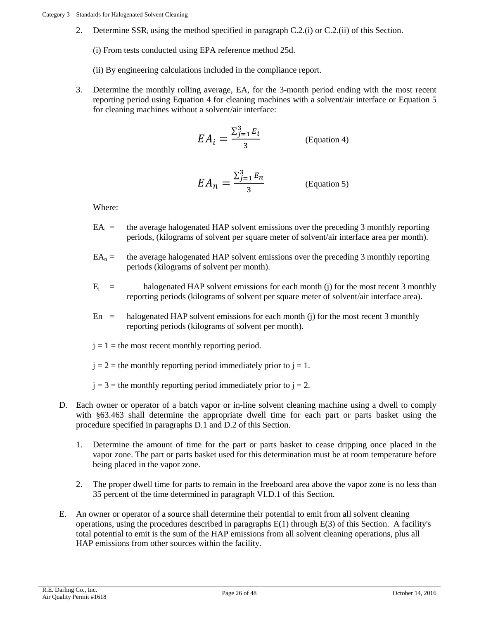2. Determine SSRi using the method specified in paragraph C.2.(i) or C.2.(ii) of this Section.

(i) From tests conducted using EPA reference method 25d.

(ii) By engineering calculations included in the compliance report.

3. Determine the monthly rolling average, EA, for the 3-month period ending with the most recent reporting period using Equation 4 for cleaning machines with a solvent/air interface or Equation 5 for cleaning machines without a solvent/air interface:

$$
EA_i = \frac{\sum_{j=1}^{3} E_i}{3}
$$
 (Equation 4)

$$
EA_n = \frac{\sum_{j=1}^{3} E_n}{3}
$$
 (Equation 5)

Where:

- $EA_i$  = the average halogenated HAP solvent emissions over the preceding 3 monthly reporting periods, (kilograms of solvent per square meter of solvent/air interface area per month).
- $EA_n =$  the average halogenated HAP solvent emissions over the preceding 3 monthly reporting periods (kilograms of solvent per month).
- $E_i$  = halogenated HAP solvent emissions for each month (j) for the most recent 3 monthly reporting periods (kilograms of solvent per square meter of solvent/air interface area).
- $En$  = halogenated HAP solvent emissions for each month (j) for the most recent 3 monthly reporting periods (kilograms of solvent per month).
- $j = 1$  = the most recent monthly reporting period.

 $j = 2$  = the monthly reporting period immediately prior to  $j = 1$ .

 $j = 3$  = the monthly reporting period immediately prior to  $j = 2$ .

- <span id="page-25-0"></span>D. Each owner or operator of a batch vapor or in-line solvent cleaning machine using a dwell to comply with §63.463 shall determine the appropriate dwell time for each part or parts basket using the procedure specified in paragraphs D.1 and D.2 of this Section.
	- 1. Determine the amount of time for the part or parts basket to cease dripping once placed in the vapor zone. The part or parts basket used for this determination must be at room temperature before being placed in the vapor zone.
	- 2. The proper dwell time for parts to remain in the freeboard area above the vapor zone is no less than 35 percent of the time determined in paragraph VI.D.1 of this Section.
- E. An owner or operator of a source shall determine their potential to emit from all solvent cleaning operations, using the procedures described in paragraphs  $E(1)$  through  $E(3)$  of this Section. A facility's total potential to emit is the sum of the HAP emissions from all solvent cleaning operations, plus all HAP emissions from other sources within the facility.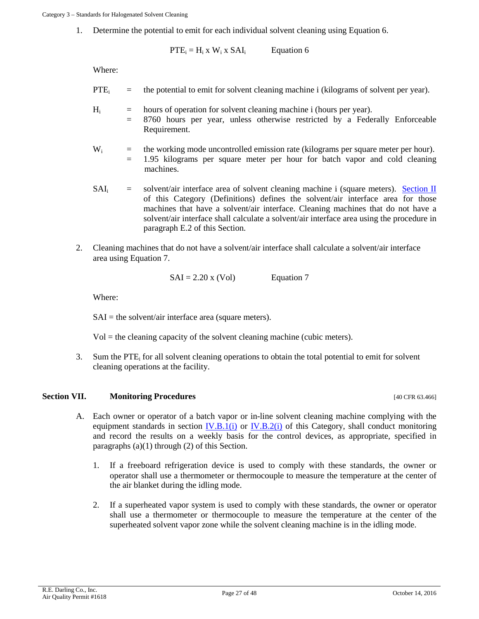1. Determine the potential to emit for each individual solvent cleaning using Equation 6.

 $PTE_i = H_i \times W_i \times SAI_i$  Equation 6

Where:

- $PTE_i$  = the potential to emit for solvent cleaning machine i (kilograms of solvent per year).
- $H<sub>i</sub>$  = hours of operation for solvent cleaning machine i (hours per year).
	- = 8760 hours per year, unless otherwise restricted by a Federally Enforceable Requirement.
- $W_i$  = the working mode uncontrolled emission rate (kilograms per square meter per hour). = 1.95 kilograms per square meter per hour for batch vapor and cold cleaning machines.
- $SAI_i$  = solvent/air interface area of solvent cleaning machine i (square meters). Section II of this Category (Definitions) defines the solvent/air interface area for those machines that have a solvent/air interface. Cleaning machines that do not have a solvent/air interface shall calculate a solvent/air interface area using the procedure in paragraph E.2 of this Section.
- 2. Cleaning machines that do not have a solvent/air interface shall calculate a solvent/air interface area using Equation 7.

$$
SAI = 2.20 \times (Vol)
$$
 Equation 7

Where:

 $SAI =$  the solvent/air interface area (square meters).

 $Vol =$  the cleaning capacity of the solvent cleaning machine (cubic meters).

3. Sum the PTE<sub>i</sub> for all solvent cleaning operations to obtain the total potential to emit for solvent cleaning operations at the facility.

## <span id="page-26-1"></span>**Section VII. Monitoring Procedures Matter of Australian CFR 63.466**

- <span id="page-26-0"></span>A. Each owner or operator of a batch vapor or in-line solvent cleaning machine complying with the equipment standards in section  $IV.B.1(i)$  or  $IV.B.2(i)$  of this Category, shall conduct monitoring and record the results on a weekly basis for the control devices, as appropriate, specified in paragraphs (a)(1) through (2) of this Section.
	- 1. If a freeboard refrigeration device is used to comply with these standards, the owner or operator shall use a thermometer or thermocouple to measure the temperature at the center of the air blanket during the idling mode.
	- 2. If a superheated vapor system is used to comply with these standards, the owner or operator shall use a thermometer or thermocouple to measure the temperature at the center of the superheated solvent vapor zone while the solvent cleaning machine is in the idling mode.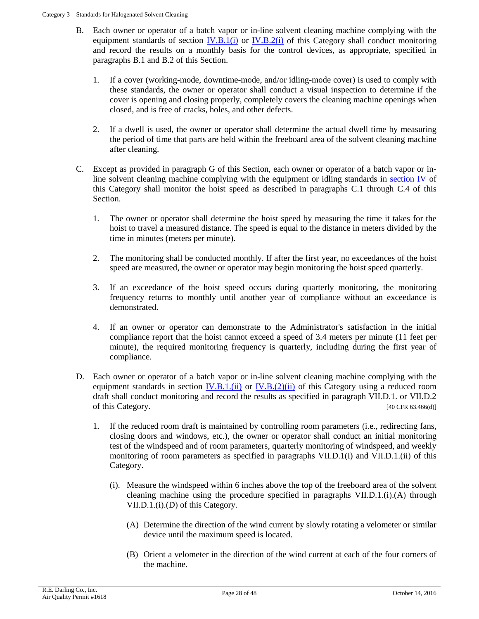- B. Each owner or operator of a batch vapor or in-line solvent cleaning machine complying with the equipment standards of section  $IV.B.1(i)$  or  $IV.B.2(i)$  of this Category shall conduct monitoring and record the results on a monthly basis for the control devices, as appropriate, specified in paragraphs B.1 and B.2 of this Section.
	- 1. If a cover (working-mode, downtime-mode, and/or idling-mode cover) is used to comply with these standards, the owner or operator shall conduct a visual inspection to determine if the cover is opening and closing properly, completely covers the cleaning machine openings when closed, and is free of cracks, holes, and other defects.
	- 2. If a dwell is used, the owner or operator shall determine the actual dwell time by measuring the period of time that parts are held within the freeboard area of the solvent cleaning machine after cleaning.
- C. Except as provided in paragraph G of this Section, each owner or operator of a batch vapor or inline solvent cleaning machine complying with the equipment or idling standards in [section IV](#page-15-1) of this Category shall monitor the hoist speed as described in paragraphs C.1 through C.4 of this Section.
	- 1. The owner or operator shall determine the hoist speed by measuring the time it takes for the hoist to travel a measured distance. The speed is equal to the distance in meters divided by the time in minutes (meters per minute).
	- 2. The monitoring shall be conducted monthly. If after the first year, no exceedances of the hoist speed are measured, the owner or operator may begin monitoring the hoist speed quarterly.
	- 3. If an exceedance of the hoist speed occurs during quarterly monitoring, the monitoring frequency returns to monthly until another year of compliance without an exceedance is demonstrated.
	- 4. If an owner or operator can demonstrate to the Administrator's satisfaction in the initial compliance report that the hoist cannot exceed a speed of 3.4 meters per minute (11 feet per minute), the required monitoring frequency is quarterly, including during the first year of compliance.
- <span id="page-27-0"></span>D. Each owner or operator of a batch vapor or in-line solvent cleaning machine complying with the equipment standards in section  $\underline{IV.B.1.(\text{ii})}$  or  $\underline{IV.B.}(2)(\overline{\text{ii}})$  of this Category using a reduced room draft shall conduct monitoring and record the results as specified in paragraph VII.D.1. or VII.D.2 of this Category. [40 CFR 63.466(d)]
	- 1. If the reduced room draft is maintained by controlling room parameters (i.e., redirecting fans, closing doors and windows, etc.), the owner or operator shall conduct an initial monitoring test of the windspeed and of room parameters, quarterly monitoring of windspeed, and weekly monitoring of room parameters as specified in paragraphs VII.D.1(i) and VII.D.1.(ii) of this Category.
		- (i). Measure the windspeed within 6 inches above the top of the freeboard area of the solvent cleaning machine using the procedure specified in paragraphs  $VII.D.1.(i).(A)$  through VII.D.1.(i).(D) of this Category.
			- (A) Determine the direction of the wind current by slowly rotating a velometer or similar device until the maximum speed is located.
			- (B) Orient a velometer in the direction of the wind current at each of the four corners of the machine.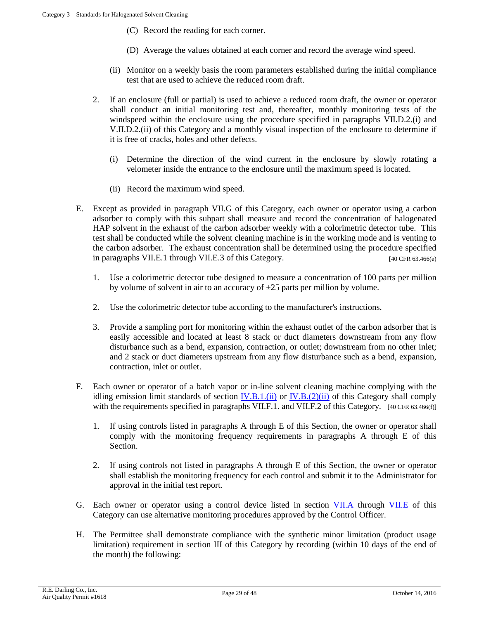- (C) Record the reading for each corner.
- (D) Average the values obtained at each corner and record the average wind speed.
- (ii) Monitor on a weekly basis the room parameters established during the initial compliance test that are used to achieve the reduced room draft.
- 2. If an enclosure (full or partial) is used to achieve a reduced room draft, the owner or operator shall conduct an initial monitoring test and, thereafter, monthly monitoring tests of the windspeed within the enclosure using the procedure specified in paragraphs VII.D.2.(i) and V.II.D.2.(ii) of this Category and a monthly visual inspection of the enclosure to determine if it is free of cracks, holes and other defects.
	- (i) Determine the direction of the wind current in the enclosure by slowly rotating a velometer inside the entrance to the enclosure until the maximum speed is located.
	- (ii) Record the maximum wind speed.
- <span id="page-28-0"></span>E. Except as provided in paragraph VII.G of this Category, each owner or operator using a carbon adsorber to comply with this subpart shall measure and record the concentration of halogenated HAP solvent in the exhaust of the carbon adsorber weekly with a colorimetric detector tube. This test shall be conducted while the solvent cleaning machine is in the working mode and is venting to the carbon adsorber. The exhaust concentration shall be determined using the procedure specified in paragraphs VII.E.1 through VII.E.3 of this Category. [40 CFR 63.466(e)]
	- 1. Use a colorimetric detector tube designed to measure a concentration of 100 parts per million by volume of solvent in air to an accuracy of  $\pm 25$  parts per million by volume.
	- 2. Use the colorimetric detector tube according to the manufacturer's instructions.
	- 3. Provide a sampling port for monitoring within the exhaust outlet of the carbon adsorber that is easily accessible and located at least 8 stack or duct diameters downstream from any flow disturbance such as a bend, expansion, contraction, or outlet; downstream from no other inlet; and 2 stack or duct diameters upstream from any flow disturbance such as a bend, expansion, contraction, inlet or outlet.
- <span id="page-28-1"></span>F. Each owner or operator of a batch vapor or in-line solvent cleaning machine complying with the idling emission limit standards of section  $IV.B.1. (ii)$  or  $IV.B. (2)(ii)$  of this Category shall comply with the requirements specified in paragraphs VII.F.1. and VII.F.2 of this Category. [40 CFR 63.466(f)]
	- 1. If using controls listed in paragraphs A through E of this Section, the owner or operator shall comply with the monitoring frequency requirements in paragraphs A through E of this Section.
	- 2. If using controls not listed in paragraphs A through E of this Section, the owner or operator shall establish the monitoring frequency for each control and submit it to the Administrator for approval in the initial test report.
- G. Each owner or operator using a control device listed in section [VII.A](#page-26-1) through [VII.E](#page-28-0) of this Category can use alternative monitoring procedures approved by the Control Officer.
- H. The Permittee shall demonstrate compliance with the synthetic minor limitation (product usage limitation) requirement in section III of this Category by recording (within 10 days of the end of the month) the following: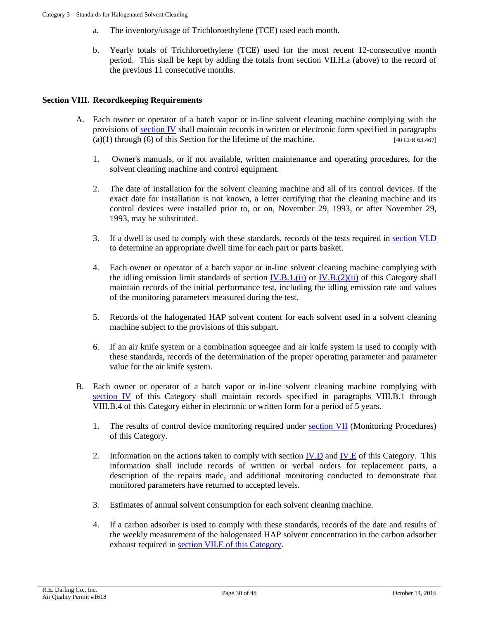- a. The inventory/usage of Trichloroethylene (TCE) used each month.
- b. Yearly totals of Trichloroethylene (TCE) used for the most recent 12-consecutive month period. This shall be kept by adding the totals from section VII.H.a (above) to the record of the previous 11 consecutive months.

## **Section VIII. Recordkeeping Requirements**

- A. Each owner or operator of a batch vapor or in-line solvent cleaning machine complying with the provisions of [section IV](#page-15-1) shall maintain records in written or electronic form specified in paragraphs  $(a)(1)$  through (6) of this Section for the lifetime of the machine. [40 CFR 63.467]
	- 1. Owner's manuals, or if not available, written maintenance and operating procedures, for the solvent cleaning machine and control equipment.
	- 2. The date of installation for the solvent cleaning machine and all of its control devices. If the exact date for installation is not known, a letter certifying that the cleaning machine and its control devices were installed prior to, or on, November 29, 1993, or after November 29, 1993, may be substituted.
	- 3. If a dwell is used to comply with these standards, records of the tests required in [section VI.D](#page-25-0) to determine an appropriate dwell time for each part or parts basket.
	- 4. Each owner or operator of a batch vapor or in-line solvent cleaning machine complying with the idling emission limit standards of section  $IV.B.1. (ii)$  or  $IV.B. (2)(ii)$  of this Category shall maintain records of the initial performance test, including the idling emission rate and values of the monitoring parameters measured during the test.
	- 5. Records of the halogenated HAP solvent content for each solvent used in a solvent cleaning machine subject to the provisions of this subpart.
	- 6. If an air knife system or a combination squeegee and air knife system is used to comply with these standards, records of the determination of the proper operating parameter and parameter value for the air knife system.
- B. Each owner or operator of a batch vapor or in-line solvent cleaning machine complying with [section IV](#page-15-1) of this Category shall maintain records specified in paragraphs VIII.B.1 through VIII.B.4 of this Category either in electronic or written form for a period of 5 years.
	- 1. The results of control device monitoring required under [section VII](#page-26-0) (Monitoring Procedures) of this Category.
	- 2. Information on the actions taken to comply with section [IV.D](#page-18-4) and [IV.E](#page-20-4) of this Category. This information shall include records of written or verbal orders for replacement parts, a description of the repairs made, and additional monitoring conducted to demonstrate that monitored parameters have returned to accepted levels.
	- 3. Estimates of annual solvent consumption for each solvent cleaning machine.
	- 4. If a carbon adsorber is used to comply with these standards, records of the date and results of the weekly measurement of the halogenated HAP solvent concentration in the carbon adsorber exhaust required in [section VII.E](#page-28-0) of this Category.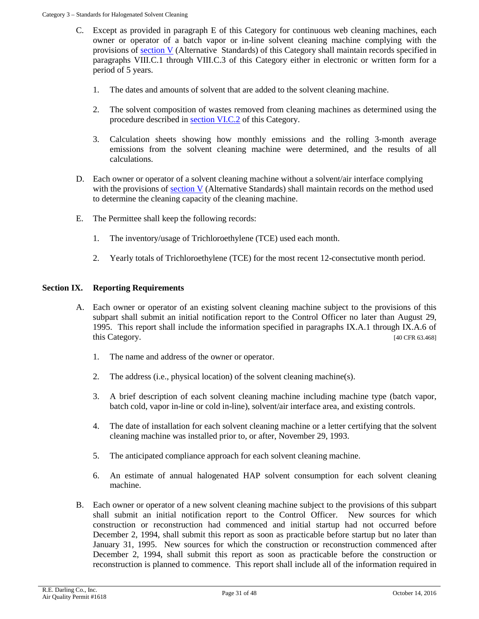- C. Except as provided in paragraph E of this Category for continuous web cleaning machines, each owner or operator of a batch vapor or in-line solvent cleaning machine complying with the provisions of [section V](#page-21-0) (Alternative Standards) of this Category shall maintain records specified in paragraphs VIII.C.1 through VIII.C.3 of this Category either in electronic or written form for a period of 5 years.
	- 1. The dates and amounts of solvent that are added to the solvent cleaning machine.
	- 2. The solvent composition of wastes removed from cleaning machines as determined using the procedure described in [section VI.C.2](#page-24-3) of this Category.
	- 3. Calculation sheets showing how monthly emissions and the rolling 3-month average emissions from the solvent cleaning machine were determined, and the results of all calculations.
- D. Each owner or operator of a solvent cleaning machine without a solvent/air interface complying with the provisions of section  $V$  (Alternative Standards) shall maintain records on the method used to determine the cleaning capacity of the cleaning machine.
- E. The Permittee shall keep the following records:
	- 1. The inventory/usage of Trichloroethylene (TCE) used each month.
	- 2. Yearly totals of Trichloroethylene (TCE) for the most recent 12-consectutive month period.

# **Section IX. Reporting Requirements**

- A. Each owner or operator of an existing solvent cleaning machine subject to the provisions of this subpart shall submit an initial notification report to the Control Officer no later than August 29, 1995. This report shall include the information specified in paragraphs IX.A.1 through IX.A.6 of this Category. [40 CFR 63.468]
	- 1. The name and address of the owner or operator.
	- 2. The address (i.e., physical location) of the solvent cleaning machine(s).
	- 3. A brief description of each solvent cleaning machine including machine type (batch vapor, batch cold, vapor in-line or cold in-line), solvent/air interface area, and existing controls.
	- 4. The date of installation for each solvent cleaning machine or a letter certifying that the solvent cleaning machine was installed prior to, or after, November 29, 1993.
	- 5. The anticipated compliance approach for each solvent cleaning machine.
	- 6. An estimate of annual halogenated HAP solvent consumption for each solvent cleaning machine.
- B. Each owner or operator of a new solvent cleaning machine subject to the provisions of this subpart shall submit an initial notification report to the Control Officer. New sources for which construction or reconstruction had commenced and initial startup had not occurred before December 2, 1994, shall submit this report as soon as practicable before startup but no later than January 31, 1995. New sources for which the construction or reconstruction commenced after December 2, 1994, shall submit this report as soon as practicable before the construction or reconstruction is planned to commence. This report shall include all of the information required in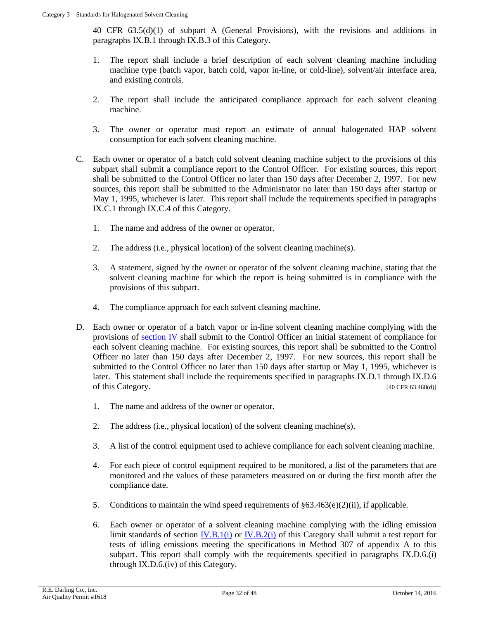40 CFR 63.5(d)(1) of subpart A (General Provisions), with the revisions and additions in paragraphs IX.B.1 through IX.B.3 of this Category.

- 1. The report shall include a brief description of each solvent cleaning machine including machine type (batch vapor, batch cold, vapor in-line, or cold-line), solvent/air interface area, and existing controls.
- 2. The report shall include the anticipated compliance approach for each solvent cleaning machine.
- 3. The owner or operator must report an estimate of annual halogenated HAP solvent consumption for each solvent cleaning machine.
- C. Each owner or operator of a batch cold solvent cleaning machine subject to the provisions of this subpart shall submit a compliance report to the Control Officer. For existing sources, this report shall be submitted to the Control Officer no later than 150 days after December 2, 1997. For new sources, this report shall be submitted to the Administrator no later than 150 days after startup or May 1, 1995, whichever is later. This report shall include the requirements specified in paragraphs IX.C.1 through IX.C.4 of this Category.
	- 1. The name and address of the owner or operator.
	- 2. The address (i.e., physical location) of the solvent cleaning machine(s).
	- 3. A statement, signed by the owner or operator of the solvent cleaning machine, stating that the solvent cleaning machine for which the report is being submitted is in compliance with the provisions of this subpart.
	- 4. The compliance approach for each solvent cleaning machine.
- <span id="page-31-0"></span>D. Each owner or operator of a batch vapor or in-line solvent cleaning machine complying with the provisions of [section IV](#page-15-1) shall submit to the Control Officer an initial statement of compliance for each solvent cleaning machine. For existing sources, this report shall be submitted to the Control Officer no later than 150 days after December 2, 1997. For new sources, this report shall be submitted to the Control Officer no later than 150 days after startup or May 1, 1995, whichever is later. This statement shall include the requirements specified in paragraphs IX.D.1 through IX.D.6 of this Category. [40 CFR 63.468(d)]
	- 1. The name and address of the owner or operator.
	- 2. The address (i.e., physical location) of the solvent cleaning machine(s).
	- 3. A list of the control equipment used to achieve compliance for each solvent cleaning machine.
	- 4. For each piece of control equipment required to be monitored, a list of the parameters that are monitored and the values of these parameters measured on or during the first month after the compliance date.
	- 5. Conditions to maintain the wind speed requirements of  $\S 63.463(e)(2)(ii)$ , if applicable.
	- 6. Each owner or operator of a solvent cleaning machine complying with the idling emission limit standards of section  $\underline{IV.B.1(i)}$  or  $\underline{IV.B.2(i)}$  of this Category shall submit a test report for tests of idling emissions meeting the specifications in Method 307 of appendix A to this subpart. This report shall comply with the requirements specified in paragraphs IX.D.6.(i) through IX.D.6.(iv) of this Category.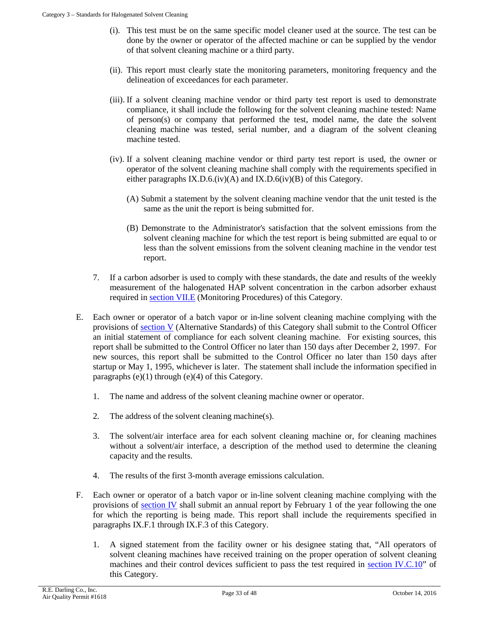- (i). This test must be on the same specific model cleaner used at the source. The test can be done by the owner or operator of the affected machine or can be supplied by the vendor of that solvent cleaning machine or a third party.
- (ii). This report must clearly state the monitoring parameters, monitoring frequency and the delineation of exceedances for each parameter.
- (iii). If a solvent cleaning machine vendor or third party test report is used to demonstrate compliance, it shall include the following for the solvent cleaning machine tested: Name of person(s) or company that performed the test, model name, the date the solvent cleaning machine was tested, serial number, and a diagram of the solvent cleaning machine tested.
- (iv). If a solvent cleaning machine vendor or third party test report is used, the owner or operator of the solvent cleaning machine shall comply with the requirements specified in either paragraphs IX.D.6.(iv)(A) and IX.D.6(iv)(B) of this Category.
	- (A) Submit a statement by the solvent cleaning machine vendor that the unit tested is the same as the unit the report is being submitted for.
	- (B) Demonstrate to the Administrator's satisfaction that the solvent emissions from the solvent cleaning machine for which the test report is being submitted are equal to or less than the solvent emissions from the solvent cleaning machine in the vendor test report.
- 7. If a carbon adsorber is used to comply with these standards, the date and results of the weekly measurement of the halogenated HAP solvent concentration in the carbon adsorber exhaust required in [section VII.E](#page-28-0) (Monitoring Procedures) of this Category.
- E. Each owner or operator of a batch vapor or in-line solvent cleaning machine complying with the provisions of [section V](#page-21-0) (Alternative Standards) of this Category shall submit to the Control Officer an initial statement of compliance for each solvent cleaning machine. For existing sources, this report shall be submitted to the Control Officer no later than 150 days after December 2, 1997. For new sources, this report shall be submitted to the Control Officer no later than 150 days after startup or May 1, 1995, whichever is later. The statement shall include the information specified in paragraphs  $(e)(1)$  through  $(e)(4)$  of this Category.
	- 1. The name and address of the solvent cleaning machine owner or operator.
	- 2. The address of the solvent cleaning machine(s).
	- 3. The solvent/air interface area for each solvent cleaning machine or, for cleaning machines without a solvent/air interface, a description of the method used to determine the cleaning capacity and the results.
	- 4. The results of the first 3-month average emissions calculation.
- F. Each owner or operator of a batch vapor or in-line solvent cleaning machine complying with the provisions of [section IV](#page-15-1) shall submit an annual report by February 1 of the year following the one for which the reporting is being made. This report shall include the requirements specified in paragraphs IX.F.1 through IX.F.3 of this Category.
	- 1. A signed statement from the facility owner or his designee stating that, "All operators of solvent cleaning machines have received training on the proper operation of solvent cleaning machines and their control devices sufficient to pass the test required in [section IV.C.10"](#page-18-5) of this Category.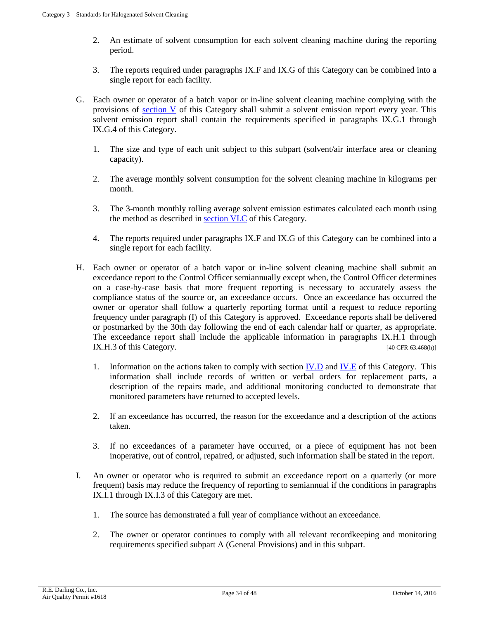- 2. An estimate of solvent consumption for each solvent cleaning machine during the reporting period.
- 3. The reports required under paragraphs IX.F and IX.G of this Category can be combined into a single report for each facility.
- G. Each owner or operator of a batch vapor or in-line solvent cleaning machine complying with the provisions of [section V](#page-21-0) of this Category shall submit a solvent emission report every year. This solvent emission report shall contain the requirements specified in paragraphs IX.G.1 through IX.G.4 of this Category.
	- 1. The size and type of each unit subject to this subpart (solvent/air interface area or cleaning capacity).
	- 2. The average monthly solvent consumption for the solvent cleaning machine in kilograms per month.
	- 3. The 3-month monthly rolling average solvent emission estimates calculated each month using the method as described in [section VI.C](#page-24-2) of this Category.
	- 4. The reports required under paragraphs IX.F and IX.G of this Category can be combined into a single report for each facility.
- <span id="page-33-0"></span>H. Each owner or operator of a batch vapor or in-line solvent cleaning machine shall submit an exceedance report to the Control Officer semiannually except when, the Control Officer determines on a case-by-case basis that more frequent reporting is necessary to accurately assess the compliance status of the source or, an exceedance occurs. Once an exceedance has occurred the owner or operator shall follow a quarterly reporting format until a request to reduce reporting frequency under paragraph (I) of this Category is approved. Exceedance reports shall be delivered or postmarked by the 30th day following the end of each calendar half or quarter, as appropriate. The exceedance report shall include the applicable information in paragraphs IX.H.1 through IX.H.3 of this Category. [40 CFR 63.468(h)]
	- 1. Information on the actions taken to comply with section [IV.D](#page-18-4) and [IV.E](#page-20-4) of this Category. This information shall include records of written or verbal orders for replacement parts, a description of the repairs made, and additional monitoring conducted to demonstrate that monitored parameters have returned to accepted levels.
	- 2. If an exceedance has occurred, the reason for the exceedance and a description of the actions taken.
	- 3. If no exceedances of a parameter have occurred, or a piece of equipment has not been inoperative, out of control, repaired, or adjusted, such information shall be stated in the report.
- I. An owner or operator who is required to submit an exceedance report on a quarterly (or more frequent) basis may reduce the frequency of reporting to semiannual if the conditions in paragraphs IX.I.1 through IX.I.3 of this Category are met.
	- 1. The source has demonstrated a full year of compliance without an exceedance.
	- 2. The owner or operator continues to comply with all relevant recordkeeping and monitoring requirements specified subpart A (General Provisions) and in this subpart.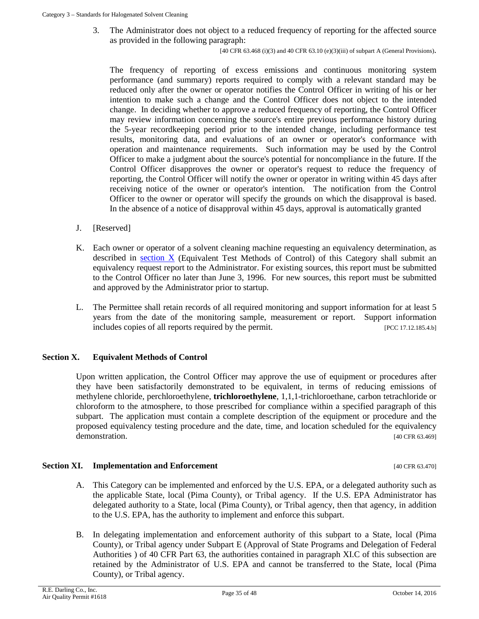3. The Administrator does not object to a reduced frequency of reporting for the affected source as provided in the following paragraph:

[40 CFR 63.468 (i)(3) and 40 CFR 63.10 (e)(3)(iii) of subpart A (General Provisions).

The frequency of reporting of excess emissions and continuous monitoring system performance (and summary) reports required to comply with a relevant standard may be reduced only after the owner or operator notifies the Control Officer in writing of his or her intention to make such a change and the Control Officer does not object to the intended change. In deciding whether to approve a reduced frequency of reporting, the Control Officer may review information concerning the source's entire previous performance history during the 5-year recordkeeping period prior to the intended change, including performance test results, monitoring data, and evaluations of an owner or operator's conformance with operation and maintenance requirements. Such information may be used by the Control Officer to make a judgment about the source's potential for noncompliance in the future. If the Control Officer disapproves the owner or operator's request to reduce the frequency of reporting, the Control Officer will notify the owner or operator in writing within 45 days after receiving notice of the owner or operator's intention. The notification from the Control Officer to the owner or operator will specify the grounds on which the disapproval is based. In the absence of a notice of disapproval within 45 days, approval is automatically granted

- J. [Reserved]
- K. Each owner or operator of a solvent cleaning machine requesting an equivalency determination, as described in [section X](#page-34-0) (Equivalent Test Methods of Control) of this Category shall submit an equivalency request report to the Administrator. For existing sources, this report must be submitted to the Control Officer no later than June 3, 1996. For new sources, this report must be submitted and approved by the Administrator prior to startup.
- L. The Permittee shall retain records of all required monitoring and support information for at least 5 years from the date of the monitoring sample, measurement or report. Support information includes copies of all reports required by the permit. [PCC 17.12.185.4.b]

#### <span id="page-34-0"></span>**Section X. Equivalent Methods of Control**

Upon written application, the Control Officer may approve the use of equipment or procedures after they have been satisfactorily demonstrated to be equivalent, in terms of reducing emissions of methylene chloride, perchloroethylene, **trichloroethylene**, 1,1,1-trichloroethane, carbon tetrachloride or chloroform to the atmosphere, to those prescribed for compliance within a specified paragraph of this subpart. The application must contain a complete description of the equipment or procedure and the proposed equivalency testing procedure and the date, time, and location scheduled for the equivalency demonstration. [40 CFR 63.469]

#### **Section XI. Implementation and Enforcement Examplement EXECUTE:** [40 CFR 63.470]

- A. This Category can be implemented and enforced by the U.S. EPA, or a delegated authority such as the applicable State, local (Pima County), or Tribal agency. If the U.S. EPA Administrator has delegated authority to a State, local (Pima County), or Tribal agency, then that agency, in addition to the U.S. EPA, has the authority to implement and enforce this subpart.
- B. In delegating implementation and enforcement authority of this subpart to a State, local (Pima County), or Tribal agency under Subpart E (Approval of State Programs and Delegation of Federal Authorities ) of 40 CFR Part 63, the authorities contained in paragraph XI.C of this subsection are retained by the Administrator of U.S. EPA and cannot be transferred to the State, local (Pima County), or Tribal agency.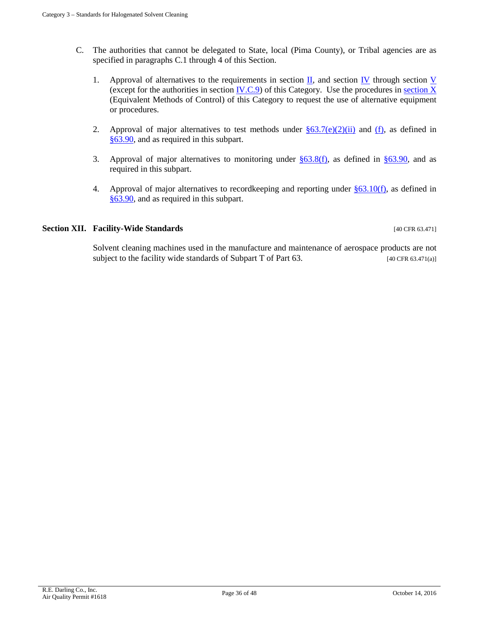- C. The authorities that cannot be delegated to State, local (Pima County), or Tribal agencies are as specified in paragraphs C.1 through 4 of this Section.
	- 1. Approval of alternatives to the requirements in section  $\Pi$ , and section [IV](#page-15-1) through section [V](#page-21-0) (except for the authorities in section  $\underline{IV.C.9}$ ) of this Category. Use the procedures in [section X](#page-34-0) (Equivalent Methods of Control) of this Category to request the use of alternative equipment or procedures.
	- 2. Approval of major alternatives to test methods under  $\S 63.7(e)(2)(ii)$  and [\(f\),](http://www.ecfr.gov/cgi-bin/text-idx?SID=79a217cb48663f974d3c4a2bc73ea7ee&mc=true&tpl=/ecfrbrowse/Title40/40cfr63_main_02.tpl) as defined in [§63.90,](http://www.ecfr.gov/cgi-bin/text-idx?SID=79a217cb48663f974d3c4a2bc73ea7ee&mc=true&tpl=/ecfrbrowse/Title40/40cfr63_main_02.tpl) and as required in this subpart.
	- 3. Approval of major alternatives to monitoring under  $\S 63.8(f)$ , as defined in  $\S 63.90$ , and as required in this subpart.
	- 4. Approval of major alternatives to recordkeeping and reporting under  $\S 63.10(f)$ , as defined in [§63.90,](http://www.ecfr.gov/cgi-bin/text-idx?SID=79a217cb48663f974d3c4a2bc73ea7ee&mc=true&tpl=/ecfrbrowse/Title40/40cfr63_main_02.tpl) and as required in this subpart.

### **Section XII. Facility-Wide Standards** [40 CFR 63.471]

Solvent cleaning machines used in the manufacture and maintenance of aerospace products are not subject to the facility wide standards of Subpart T of Part  $63$ . [40 CFR  $63.471(a)$ ]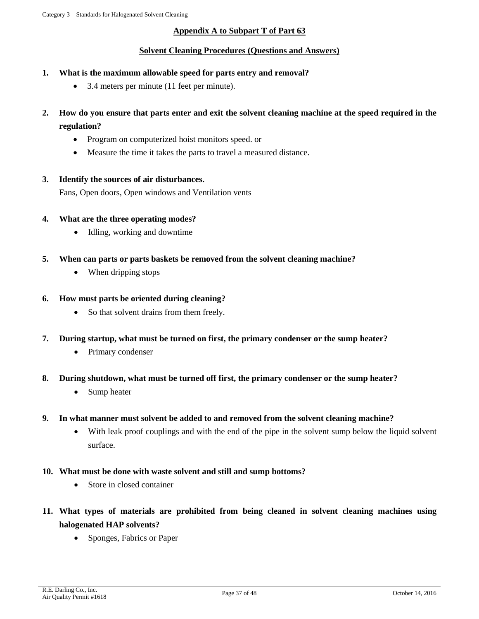# **Appendix A to Subpart T of Part 63**

## **Solvent Cleaning Procedures (Questions and Answers)**

- **1. What is the maximum allowable speed for parts entry and removal?**
	- 3.4 meters per minute (11 feet per minute).
- **2. How do you ensure that parts enter and exit the solvent cleaning machine at the speed required in the regulation?**
	- Program on computerized hoist monitors speed. or
	- Measure the time it takes the parts to travel a measured distance.
- **3. Identify the sources of air disturbances.**

Fans, Open doors, Open windows and Ventilation vents

- **4. What are the three operating modes?**
	- Idling, working and downtime
- **5. When can parts or parts baskets be removed from the solvent cleaning machine?**
	- When dripping stops
- **6. How must parts be oriented during cleaning?**
	- So that solvent drains from them freely.
- **7. During startup, what must be turned on first, the primary condenser or the sump heater?**
	- Primary condenser
- **8. During shutdown, what must be turned off first, the primary condenser or the sump heater?**
	- Sump heater
- **9. In what manner must solvent be added to and removed from the solvent cleaning machine?**
	- With leak proof couplings and with the end of the pipe in the solvent sump below the liquid solvent surface.
- **10. What must be done with waste solvent and still and sump bottoms?**
	- Store in closed container
- **11. What types of materials are prohibited from being cleaned in solvent cleaning machines using halogenated HAP solvents?**
	- Sponges, Fabrics or Paper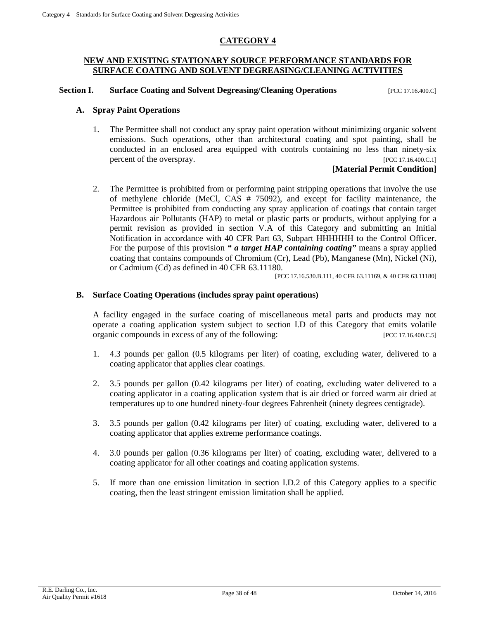# **CATEGORY 4**

#### **NEW AND EXISTING STATIONARY SOURCE PERFORMANCE STANDARDS FOR SURFACE COATING AND SOLVENT DEGREASING/CLEANING ACTIVITIES**

**Section I. Surface Coating and Solvent Degreasing/Cleaning Operations** [PCC 17.16.400.C]

#### **A. Spray Paint Operations**

1. The Permittee shall not conduct any spray paint operation without minimizing organic solvent emissions. Such operations, other than architectural coating and spot painting, shall be conducted in an enclosed area equipped with controls containing no less than ninety-six percent of the overspray. [PCC 17.16.400.C.1]

## **[Material Permit Condition]**

2. The Permittee is prohibited from or performing paint stripping operations that involve the use of methylene chloride (MeCl, CAS # 75092), and except for facility maintenance, the Permittee is prohibited from conducting any spray application of coatings that contain target Hazardous air Pollutants (HAP) to metal or plastic parts or products, without applying for a permit revision as provided in section V.A of this Category and submitting an Initial Notification in accordance with 40 CFR Part 63, Subpart HHHHHH to the Control Officer. For the purpose of this provision *" a target HAP containing coating"* means a spray applied coating that contains compounds of Chromium (Cr), Lead (Pb), Manganese (Mn), Nickel (Ni), or Cadmium (Cd) as defined in 40 CFR 63.11180.

[PCC 17.16.530.B.111, 40 CFR 63.11169, & 40 CFR 63.11180]

#### **B. Surface Coating Operations (includes spray paint operations)**

A facility engaged in the surface coating of miscellaneous metal parts and products may not operate a coating application system subject to section I.D of this Category that emits volatile organic compounds in excess of any of the following: [PCC 17.16.400.C.5]

- 1. 4.3 pounds per gallon (0.5 kilograms per liter) of coating, excluding water, delivered to a coating applicator that applies clear coatings.
- 2. 3.5 pounds per gallon (0.42 kilograms per liter) of coating, excluding water delivered to a coating applicator in a coating application system that is air dried or forced warm air dried at temperatures up to one hundred ninety-four degrees Fahrenheit (ninety degrees centigrade).
- 3. 3.5 pounds per gallon (0.42 kilograms per liter) of coating, excluding water, delivered to a coating applicator that applies extreme performance coatings.
- 4. 3.0 pounds per gallon (0.36 kilograms per liter) of coating, excluding water, delivered to a coating applicator for all other coatings and coating application systems.
- 5. If more than one emission limitation in section I.D.2 of this Category applies to a specific coating, then the least stringent emission limitation shall be applied.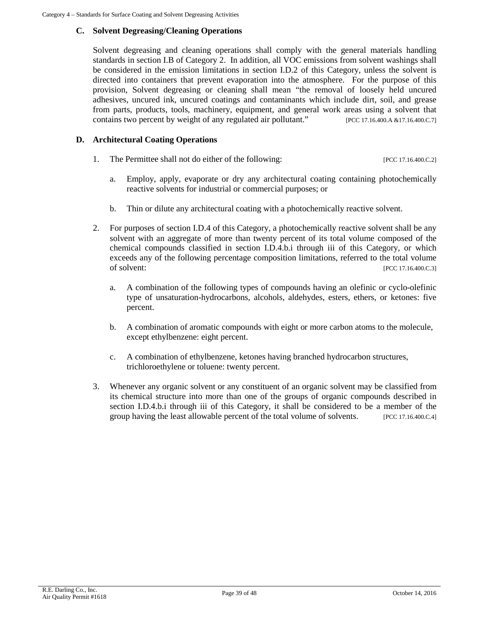# **C. Solvent Degreasing/Cleaning Operations**

Solvent degreasing and cleaning operations shall comply with the general materials handling standards in section I.B of Category 2. In addition, all VOC emissions from solvent washings shall be considered in the emission limitations in section I.D.2 of this Category, unless the solvent is directed into containers that prevent evaporation into the atmosphere. For the purpose of this provision, Solvent degreasing or cleaning shall mean "the removal of loosely held uncured adhesives, uncured ink, uncured coatings and contaminants which include dirt, soil, and grease from parts, products, tools, machinery, equipment, and general work areas using a solvent that contains two percent by weight of any regulated air pollutant." [PCC 17.16.400.A &17.16.400.C.7]

# **D. Architectural Coating Operations**

- 1. The Permittee shall not do either of the following: [PCC 17.16.400.C.2]
	- a. Employ, apply, evaporate or dry any architectural coating containing photochemically reactive solvents for industrial or commercial purposes; or
	- b. Thin or dilute any architectural coating with a photochemically reactive solvent.
- 2. For purposes of section I.D.4 of this Category, a photochemically reactive solvent shall be any solvent with an aggregate of more than twenty percent of its total volume composed of the chemical compounds classified in section I.D.4.b.i through iii of this Category, or which exceeds any of the following percentage composition limitations, referred to the total volume of solvent: [PCC 17.16.400.C.3]
	- a. A combination of the following types of compounds having an olefinic or cyclo-olefinic type of unsaturation-hydrocarbons, alcohols, aldehydes, esters, ethers, or ketones: five percent.
	- b. A combination of aromatic compounds with eight or more carbon atoms to the molecule, except ethylbenzene: eight percent.
	- c. A combination of ethylbenzene, ketones having branched hydrocarbon structures, trichloroethylene or toluene: twenty percent.
- 3. Whenever any organic solvent or any constituent of an organic solvent may be classified from its chemical structure into more than one of the groups of organic compounds described in section I.D.4.b.i through iii of this Category, it shall be considered to be a member of the group having the least allowable percent of the total volume of solvents. [PCC 17.16.400.C.4]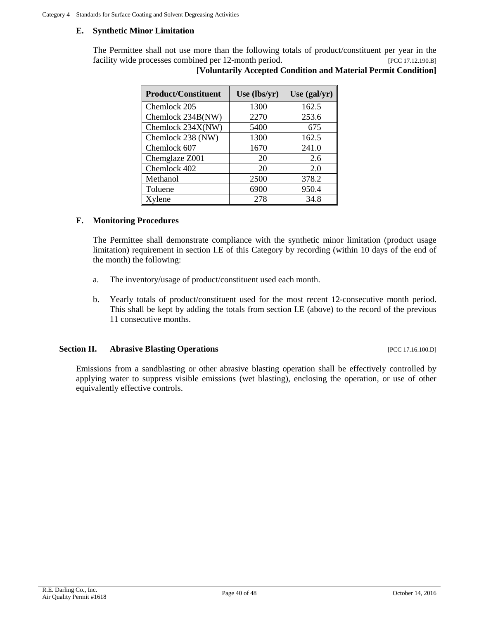#### **E. Synthetic Minor Limitation**

The Permittee shall not use more than the following totals of product/constituent per year in the facility wide processes combined per 12-month period. [PCC 17.12.190.B]

| <b>Product/Constituent</b> | Use $(lbs/yr)$ | Use $(gal/yr)$ |
|----------------------------|----------------|----------------|
| Chemlock 205               | 1300           | 162.5          |
| Chemlock 234B(NW)          | 2270           | 253.6          |
| Chemlock 234X(NW)          | 5400           | 675            |
| Chemlock 238 (NW)          | 1300           | 162.5          |
| Chemlock 607               | 1670           | 241.0          |
| Chemglaze Z001             | 20             | 2.6            |
| Chemlock 402               | 20             | 2.0            |
| Methanol                   | 2500           | 378.2          |
| Toluene                    | 6900           | 950.4          |
| Xylene                     | 278            | 34.8           |

| $m_{\rm v}$ por $12$ moment perfour |  |                                                                | $ 1 \cup 1 \cup 1 \cup 2 \cup 1 \cup 3 $ |
|-------------------------------------|--|----------------------------------------------------------------|------------------------------------------|
|                                     |  | [Voluntarily Accepted Condition and Material Permit Condition] |                                          |

#### **F. Monitoring Procedures**

The Permittee shall demonstrate compliance with the synthetic minor limitation (product usage limitation) requirement in section I.E of this Category by recording (within 10 days of the end of the month) the following:

- a. The inventory/usage of product/constituent used each month.
- b. Yearly totals of product/constituent used for the most recent 12-consecutive month period. This shall be kept by adding the totals from section I.E (above) to the record of the previous 11 consecutive months.

#### **Section II. Abrasive Blasting Operations** [PCC 17.16.100.D]

Emissions from a sandblasting or other abrasive blasting operation shall be effectively controlled by applying water to suppress visible emissions (wet blasting), enclosing the operation, or use of other equivalently effective controls.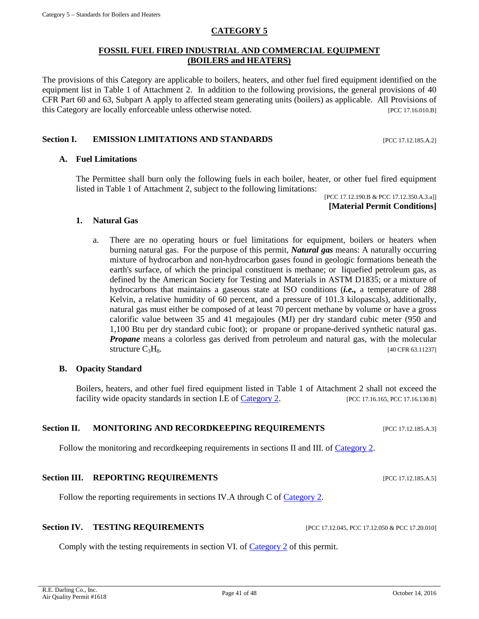Comply with the testing requirements in section VI. of [Category](#page-6-0) 2 of this permit.

R.E. Darling Co., Inc. R.E. Darling Co., Inc.<br>Air Quality Permit #1618 Page 41 of 48 Page 41 of 48 October 14, 2016

# **CATEGORY 5**

# **FOSSIL FUEL FIRED INDUSTRIAL AND COMMERCIAL EQUIPMENT (BOILERS and HEATERS)**

The provisions of this Category are applicable to boilers, heaters, and other fuel fired equipment identified on the equipment list in Table 1 of Attachment 2. In addition to the following provisions, the general provisions of 40 CFR Part 60 and 63, Subpart A apply to affected steam generating units (boilers) as applicable. All Provisions of this Category are locally enforceable unless otherwise noted. [PCC 17.16.010.B]

# **Section I. • EMISSION LIMITATIONS AND STANDARDS** [PCC 17.12.185.A.2]

# **A. Fuel Limitations**

The Permittee shall burn only the following fuels in each boiler, heater, or other fuel fired equipment listed in Table 1 of Attachment 2, subject to the following limitations:

[PCC 17.12.190.B & PCC 17.12.350.A.3.a]] **[Material Permit Conditions]**

#### **1. Natural Gas**

a. There are no operating hours or fuel limitations for equipment, boilers or heaters when burning natural gas. For the purpose of this permit, *Natural gas* means: A naturally occurring mixture of hydrocarbon and non-hydrocarbon gases found in geologic formations beneath the earth's surface, of which the principal constituent is methane; or liquefied petroleum gas, as defined by the American Society for Testing and Materials in ASTM D1835; or a mixture of hydrocarbons that maintains a gaseous state at ISO conditions (*i.e.,* a temperature of 288 Kelvin, a relative humidity of 60 percent, and a pressure of 101.3 kilopascals), additionally, natural gas must either be composed of at least 70 percent methane by volume or have a gross calorific value between 35 and 41 megajoules (MJ) per dry standard cubic meter (950 and 1,100 Btu per dry standard cubic foot); or propane or propane-derived synthetic natural gas. *Propane* means a colorless gas derived from petroleum and natural gas, with the molecular structure  $C_3H_8$ . [40 CFR 63.11237]

#### **B. Opacity Standard**

Boilers, heaters, and other fuel fired equipment listed in Table 1 of Attachment 2 shall not exceed the facility wide opacity standards in section I.E of [Category 2.](#page-6-0) [PCC 17.16.165, PCC 17.16.130.B]

#### **Section II. MONITORING AND RECORDKEEPING REQUIREMENTS** [PCC 17.12.185.A.3]

Follow the monitoring and recordkeeping requirements in sections II and III. of [Category](#page-6-0) 2.

# **Section III. REPORTING REQUIREMENTS** [PCC 17.12.185.A.5]

Follow the reporting requirements in sections IV.A through C of [Category](#page-6-0) 2.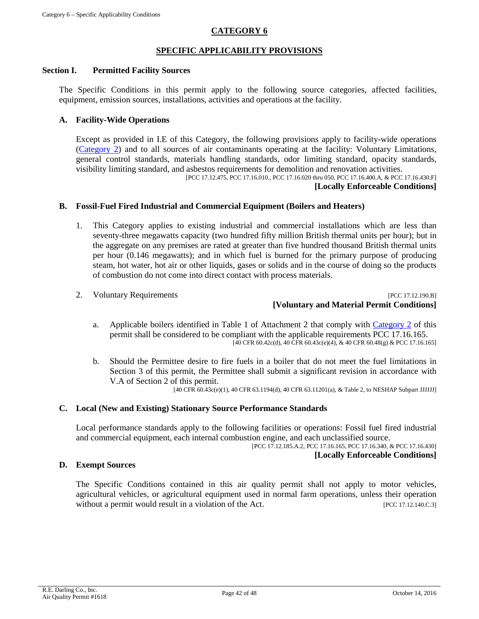# **CATEGORY 6**

#### **SPECIFIC APPLICABILITY PROVISIONS**

#### **Section I. Permitted Facility Sources**

The Specific Conditions in this permit apply to the following source categories, affected facilities, equipment, emission sources, installations, activities and operations at the facility.

#### **A. Facility-Wide Operations**

Except as provided in I.E of this Category, the following provisions apply to facility-wide operations [\(Category 2\)](#page-6-0) and to all sources of air contaminants operating at the facility: Voluntary Limitations, general control standards, materials handling standards, odor limiting standard, opacity standards, visibility limiting standard, and asbestos requirements for demolition and renovation activities.

[PCC 17.12.475, PCC 17.16.010., PCC 17.16.020 thru 050, PCC 17.16.400.A, & PCC 17.16.430.F]

# **[Locally Enforceable Conditions]**

#### **B. Fossil-Fuel Fired Industrial and Commercial Equipment (Boilers and Heaters)**

- 1. This Category applies to existing industrial and commercial installations which are less than seventy-three megawatts capacity (two hundred fifty million British thermal units per hour); but in the aggregate on any premises are rated at greater than five hundred thousand British thermal units per hour (0.146 megawatts); and in which fuel is burned for the primary purpose of producing steam, hot water, hot air or other liquids, gases or solids and in the course of doing so the products of combustion do not come into direct contact with process materials.
- 

2. Voluntary Requirements **[PCC 17.12.190.B] [Voluntary and Material Permit Conditions]**

- a. Applicable boilers identified in Table 1 of Attachment 2 that comply with [Category 2](#page-6-0) of this permit shall be considered to be compliant with the applicable requirements PCC 17.16.165.  $[40 \text{ CFR } 60.42 \text{c(d)}, 40 \text{ CFR } 60.43 \text{c(e)}(4), \& 40 \text{ CFR } 60.48 \text{(g)} \& \text{PCC } 17.16.165]$
- b. Should the Permittee desire to fire fuels in a boiler that do not meet the fuel limitations in Section 3 of this permit, the Permittee shall submit a significant revision in accordance with V.A of Section 2 of this permit.

[40 CFR 60.43c(e)(1), 40 CFR 63.1194(d), 40 CFR 63.11201(a), & Table 2, to NESHAP Subpart JJJJJJ]

## **C. Local (New and Existing) Stationary Source Performance Standards**

Local performance standards apply to the following facilities or operations: Fossil fuel fired industrial and commercial equipment, each internal combustion engine, and each unclassified source.

[PCC 17.12.185.A.2, PCC 17.16.165, PCC 17.16.340, & PCC 17.16.430] **[Locally Enforceable Conditions]**

## **D. Exempt Sources**

The Specific Conditions contained in this air quality permit shall not apply to motor vehicles, agricultural vehicles, or agricultural equipment used in normal farm operations, unless their operation without a permit would result in a violation of the Act. [PCC 17.12.140.C.3]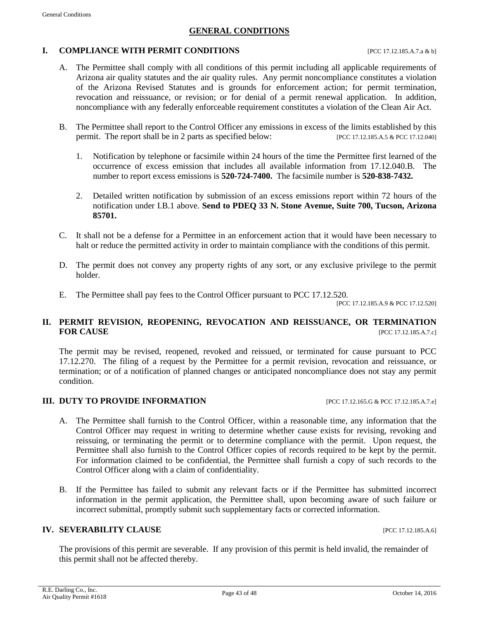#### **GENERAL CONDITIONS**

#### **I. COMPLIANCE WITH PERMIT CONDITIONS** [PCC 17.12.185.A.7.a & b]

- A. The Permittee shall comply with all conditions of this permit including all applicable requirements of Arizona air quality statutes and the air quality rules. Any permit noncompliance constitutes a violation of the Arizona Revised Statutes and is grounds for enforcement action; for permit termination, revocation and reissuance, or revision; or for denial of a permit renewal application. In addition, noncompliance with any federally enforceable requirement constitutes a violation of the Clean Air Act.
- B. The Permittee shall report to the Control Officer any emissions in excess of the limits established by this permit. The report shall be in 2 parts as specified below: [PCC 17.12.185.A.5 & PCC 17.12.040]
	- 1. Notification by telephone or facsimile within 24 hours of the time the Permittee first learned of the occurrence of excess emission that includes all available information from 17.12.040.B. The number to report excess emissions is **520-724-7400.** The facsimile number is **520-838-7432.**
	- 2. Detailed written notification by submission of an excess emissions report within 72 hours of the notification under I.B.1 above. **Send to PDEQ 33 N. Stone Avenue, Suite 700, Tucson, Arizona 85701.**
- C. It shall not be a defense for a Permittee in an enforcement action that it would have been necessary to halt or reduce the permitted activity in order to maintain compliance with the conditions of this permit.
- D. The permit does not convey any property rights of any sort, or any exclusive privilege to the permit holder.
- E. The Permittee shall pay fees to the Control Officer pursuant to PCC 17.12.520.

[PCC 17.12.185.A.9 & PCC 17.12.520]

## **II. PERMIT REVISION, REOPENING, REVOCATION AND REISSUANCE, OR TERMINATION FOR CAUSE [PCC 17.12.185.A.7.c]**

The permit may be revised, reopened, revoked and reissued, or terminated for cause pursuant to PCC 17.12.270. The filing of a request by the Permittee for a permit revision, revocation and reissuance, or termination; or of a notification of planned changes or anticipated noncompliance does not stay any permit condition.

#### **III. DUTY TO PROVIDE INFORMATION** [PCC 17.12.165.G & PCC 17.12.185.A.7.e]

- A. The Permittee shall furnish to the Control Officer, within a reasonable time, any information that the Control Officer may request in writing to determine whether cause exists for revising, revoking and reissuing, or terminating the permit or to determine compliance with the permit. Upon request, the Permittee shall also furnish to the Control Officer copies of records required to be kept by the permit. For information claimed to be confidential, the Permittee shall furnish a copy of such records to the Control Officer along with a claim of confidentiality.
- B. If the Permittee has failed to submit any relevant facts or if the Permittee has submitted incorrect information in the permit application, the Permittee shall, upon becoming aware of such failure or incorrect submittal, promptly submit such supplementary facts or corrected information.

# **IV. SEVERABILITY CLAUSE INCLUSE INCLUSE INCLUSE INCLUSION**

The provisions of this permit are severable. If any provision of this permit is held invalid, the remainder of this permit shall not be affected thereby.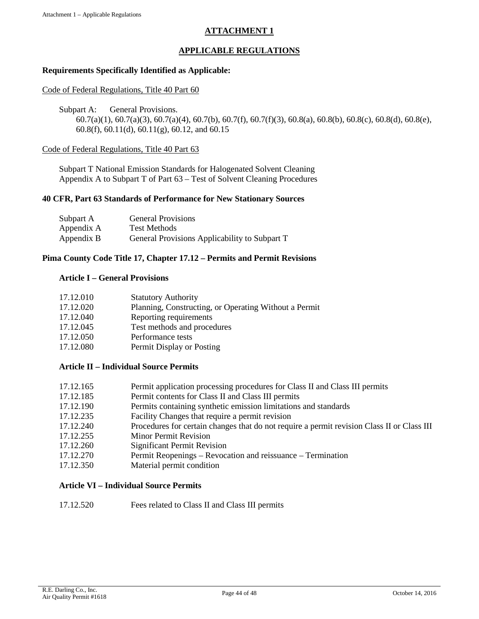# **ATTACHMENT 1**

# **APPLICABLE REGULATIONS**

## **Requirements Specifically Identified as Applicable:**

#### Code of Federal Regulations, Title 40 Part 60

Subpart A: General Provisions.

60.7(a)(1), 60.7(a)(3), 60.7(a)(4), 60.7(b), 60.7(f), 60.7(f)(3), 60.8(a), 60.8(b), 60.8(c), 60.8(d), 60.8(e), 60.8(f), 60.11(d), 60.11(g), 60.12, and 60.15

#### Code of Federal Regulations, Title 40 Part 63

Subpart T National Emission Standards for Halogenated Solvent Cleaning Appendix A to Subpart T of Part 63 – Test of Solvent Cleaning Procedures

#### **40 CFR, Part 63 Standards of Performance for New Stationary Sources**

| Subpart A  | <b>General Provisions</b>                     |
|------------|-----------------------------------------------|
| Appendix A | <b>Test Methods</b>                           |
| Appendix B | General Provisions Applicability to Subpart T |

### **Pima County Code Title 17, Chapter 17.12 – Permits and Permit Revisions**

#### **Article I – General Provisions**

| 17.12.010 | <b>Statutory Authority</b>                            |
|-----------|-------------------------------------------------------|
| 17.12.020 | Planning, Constructing, or Operating Without a Permit |
| 17.12.040 | Reporting requirements                                |
| 17.12.045 | Test methods and procedures                           |
| 17.12.050 | Performance tests                                     |
| 17.12.080 | Permit Display or Posting                             |

# **Article II – Individual Source Permits**

| 17.12.165 | Permit application processing procedures for Class II and Class III permits                |
|-----------|--------------------------------------------------------------------------------------------|
| 17.12.185 | Permit contents for Class II and Class III permits                                         |
| 17.12.190 | Permits containing synthetic emission limitations and standards                            |
| 17.12.235 | Facility Changes that require a permit revision                                            |
| 17.12.240 | Procedures for certain changes that do not require a permit revision Class II or Class III |
| 17.12.255 | <b>Minor Permit Revision</b>                                                               |
| 17.12.260 | <b>Significant Permit Revision</b>                                                         |
| 17.12.270 | Permit Reopenings – Revocation and reissuance – Termination                                |
| 17.12.350 | Material permit condition                                                                  |

#### **Article VI – Individual Source Permits**

17.12.520 Fees related to Class II and Class III permits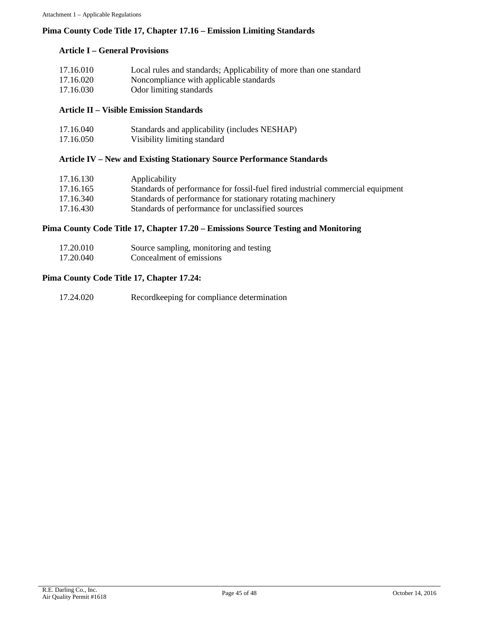## **Pima County Code Title 17, Chapter 17.16 – Emission Limiting Standards**

#### **Article I – General Provisions**

| 17.16.010 | Local rules and standards; Applicability of more than one standard |
|-----------|--------------------------------------------------------------------|
| 17.16.020 | Noncompliance with applicable standards                            |
| 17.16.030 | Odor limiting standards                                            |

#### **Article II – Visible Emission Standards**

| 17.16.040 | Standards and applicability (includes NESHAP) |
|-----------|-----------------------------------------------|
| 17.16.050 | Visibility limiting standard                  |

#### **Article IV – New and Existing Stationary Source Performance Standards**

| 17.16.130 | Applicability                                                                  |
|-----------|--------------------------------------------------------------------------------|
| 17.16.165 | Standards of performance for fossil-fuel fired industrial commercial equipment |
| 17.16.340 | Standards of performance for stationary rotating machinery                     |
| 17.16.430 | Standards of performance for unclassified sources                              |

# **Pima County Code Title 17, Chapter 17.20 – Emissions Source Testing and Monitoring**

| 17.20.010 | Source sampling, monitoring and testing |
|-----------|-----------------------------------------|
| 17.20.040 | Concealment of emissions                |

#### **Pima County Code Title 17, Chapter 17.24:**

| 17.24.020<br>Record keeping for compliance determination |
|----------------------------------------------------------|
|----------------------------------------------------------|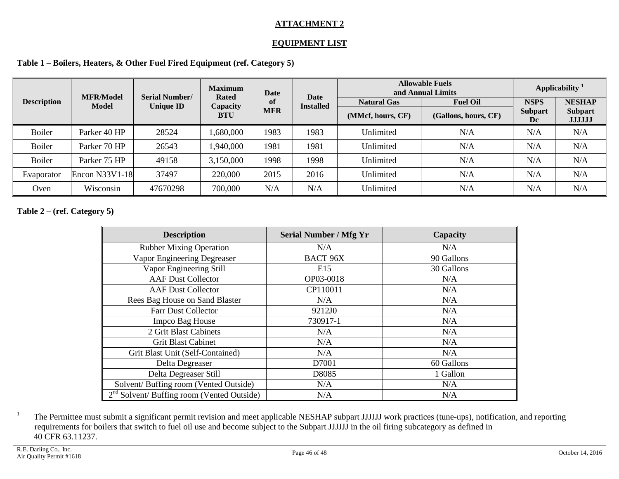# **ATTACHMENT 2**

# **EQUIPMENT LIST**

**Table 1 – Boilers, Heaters, & Other Fuel Fired Equipment (ref. Category 5)**

|                    | <b>MFR/Model</b> | <b>Serial Number/</b> | <b>Maximum</b>    | Date       | <b>Date</b>      | <b>Allowable Fuels</b><br>and Annual Limits |                      | Applicability <sup>1</sup> |                                 |
|--------------------|------------------|-----------------------|-------------------|------------|------------------|---------------------------------------------|----------------------|----------------------------|---------------------------------|
| <b>Description</b> | <b>Model</b>     | <b>Unique ID</b>      | Rated<br>Capacity | -of        | <b>Installed</b> | <b>Natural Gas</b>                          | <b>Fuel Oil</b>      | <b>NSPS</b>                | <b>NESHAP</b>                   |
|                    |                  |                       | <b>BTU</b>        | <b>MFR</b> |                  | (MMcf, hours, CF)                           | (Gallons, hours, CF) | <b>Subpart</b><br>Dc       | <b>Subpart</b><br><b>JJJJJJ</b> |
| <b>Boiler</b>      | Parker 40 HP     | 28524                 | 1,680,000         | 1983       | 1983             | Unlimited                                   | N/A                  | N/A                        | N/A                             |
| <b>Boiler</b>      | Parker 70 HP     | 26543                 | 1,940,000         | 1981       | 1981             | Unlimited                                   | N/A                  | N/A                        | N/A                             |
| <b>Boiler</b>      | Parker 75 HP     | 49158                 | 3,150,000         | 1998       | 1998             | Unlimited                                   | N/A                  | N/A                        | N/A                             |
| Evaporator         | Encon $N33V1-18$ | 37497                 | 220,000           | 2015       | 2016             | Unlimited                                   | N/A                  | N/A                        | N/A                             |
| Oven               | Wisconsin        | 47670298              | 700,000           | N/A        | N/A              | Unlimited                                   | N/A                  | N/A                        | N/A                             |

# **Table 2 – (ref. Category 5)**

| <b>Description</b>                           | <b>Serial Number / Mfg Yr</b> | Capacity   |
|----------------------------------------------|-------------------------------|------------|
| <b>Rubber Mixing Operation</b>               | N/A                           | N/A        |
| Vapor Engineering Degreaser                  | <b>BACT 96X</b>               | 90 Gallons |
| Vapor Engineering Still                      | E15                           | 30 Gallons |
| <b>AAF Dust Collector</b>                    | OP03-0018                     | N/A        |
| <b>AAF Dust Collector</b>                    | CP110011                      | N/A        |
| Rees Bag House on Sand Blaster               | N/A                           | N/A        |
| Farr Dust Collector                          | 9212J0                        | N/A        |
| Impco Bag House                              | 730917-1                      | N/A        |
| 2 Grit Blast Cabinets                        | N/A                           | N/A        |
| <b>Grit Blast Cabinet</b>                    | N/A                           | N/A        |
| Grit Blast Unit (Self-Contained)             | N/A                           | N/A        |
| Delta Degreaser                              | D7001                         | 60 Gallons |
| Delta Degreaser Still                        | D8085                         | 1 Gallon   |
| Solvent/Buffing room (Vented Outside)        | N/A                           | N/A        |
| $2nd$ Solvent/ Buffing room (Vented Outside) | N/A                           | N/A        |

<sup>1</sup> The Permittee must submit a significant permit revision and meet applicable NESHAP subpart JJJJJJ work practices (tune-ups), notification, and reporting requirements for boilers that switch to fuel oil use and become subject to the Subpart JJJJJJ in the oil firing subcategory as defined in 40 CFR 63.11237.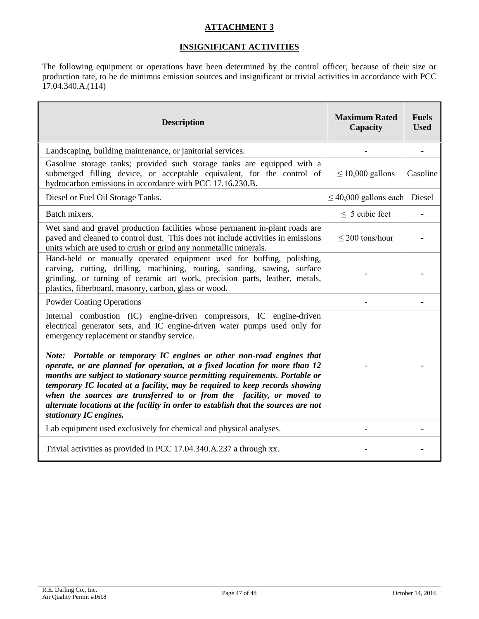# **ATTACHMENT 3**

# **INSIGNIFICANT ACTIVITIES**

The following equipment or operations have been determined by the control officer, because of their size or production rate, to be de minimus emission sources and insignificant or trivial activities in accordance with PCC 17.04.340.A.(114)

| <b>Description</b>                                                                                                                                                                                                                                                                                                                                                                                                                                                                                                                                                                                                                                                                                             | <b>Maximum Rated</b><br>Capacity | <b>Fuels</b><br><b>Used</b> |
|----------------------------------------------------------------------------------------------------------------------------------------------------------------------------------------------------------------------------------------------------------------------------------------------------------------------------------------------------------------------------------------------------------------------------------------------------------------------------------------------------------------------------------------------------------------------------------------------------------------------------------------------------------------------------------------------------------------|----------------------------------|-----------------------------|
| Landscaping, building maintenance, or janitorial services.                                                                                                                                                                                                                                                                                                                                                                                                                                                                                                                                                                                                                                                     |                                  |                             |
| Gasoline storage tanks; provided such storage tanks are equipped with a<br>submerged filling device, or acceptable equivalent, for the control of<br>hydrocarbon emissions in accordance with PCC 17.16.230.B.                                                                                                                                                                                                                                                                                                                                                                                                                                                                                                 | $\leq 10,000$ gallons            | Gasoline                    |
| Diesel or Fuel Oil Storage Tanks.                                                                                                                                                                                                                                                                                                                                                                                                                                                                                                                                                                                                                                                                              | $\leq$ 40,000 gallons each       | Diesel                      |
| Batch mixers.                                                                                                                                                                                                                                                                                                                                                                                                                                                                                                                                                                                                                                                                                                  | $\leq$ 5 cubic feet              |                             |
| Wet sand and gravel production facilities whose permanent in-plant roads are<br>paved and cleaned to control dust. This does not include activities in emissions<br>units which are used to crush or grind any nonmetallic minerals.                                                                                                                                                                                                                                                                                                                                                                                                                                                                           | $\leq$ 200 tons/hour             |                             |
| Hand-held or manually operated equipment used for buffing, polishing,<br>carving, cutting, drilling, machining, routing, sanding, sawing, surface<br>grinding, or turning of ceramic art work, precision parts, leather, metals,<br>plastics, fiberboard, masonry, carbon, glass or wood.                                                                                                                                                                                                                                                                                                                                                                                                                      |                                  |                             |
| <b>Powder Coating Operations</b>                                                                                                                                                                                                                                                                                                                                                                                                                                                                                                                                                                                                                                                                               |                                  |                             |
| Internal combustion (IC) engine-driven compressors, IC engine-driven<br>electrical generator sets, and IC engine-driven water pumps used only for<br>emergency replacement or standby service.<br>Note: Portable or temporary IC engines or other non-road engines that<br>operate, or are planned for operation, at a fixed location for more than 12<br>months are subject to stationary source permitting requirements. Portable or<br>temporary IC located at a facility, may be required to keep records showing<br>when the sources are transferred to or from the facility, or moved to<br>alternate locations at the facility in order to establish that the sources are not<br>stationary IC engines. |                                  |                             |
| Lab equipment used exclusively for chemical and physical analyses.                                                                                                                                                                                                                                                                                                                                                                                                                                                                                                                                                                                                                                             |                                  |                             |
| Trivial activities as provided in PCC 17.04.340.A.237 a through xx.                                                                                                                                                                                                                                                                                                                                                                                                                                                                                                                                                                                                                                            |                                  |                             |